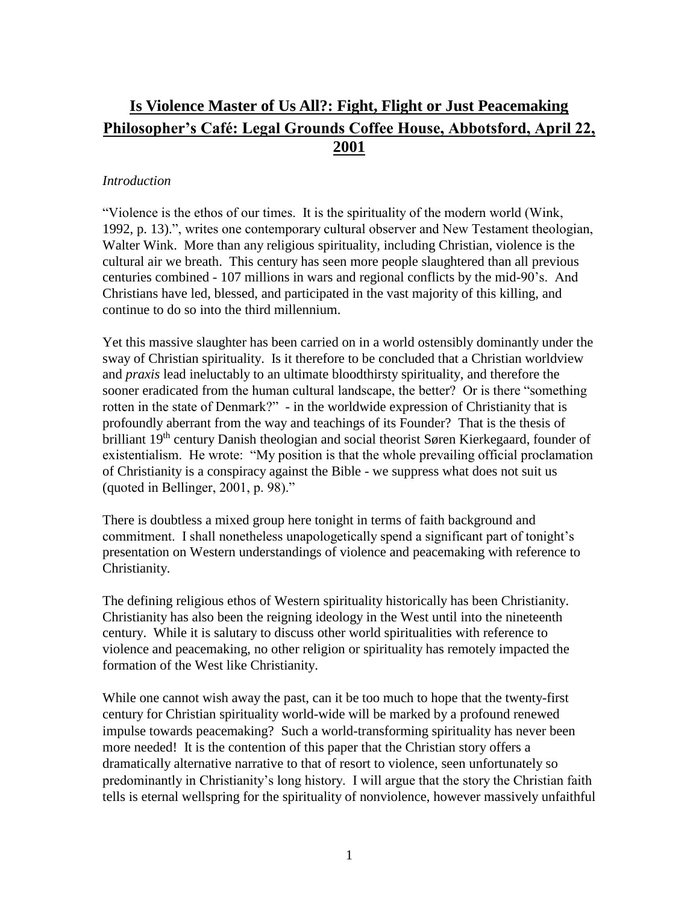# **Is Violence Master of Us All?: Fight, Flight or Just Peacemaking Philosopher's Café: Legal Grounds Coffee House, Abbotsford, April 22, 2001**

#### *Introduction*

"Violence is the ethos of our times. It is the spirituality of the modern world (Wink, 1992, p. 13).", writes one contemporary cultural observer and New Testament theologian, Walter Wink. More than any religious spirituality, including Christian, violence is the cultural air we breath. This century has seen more people slaughtered than all previous centuries combined - 107 millions in wars and regional conflicts by the mid-90's. And Christians have led, blessed, and participated in the vast majority of this killing, and continue to do so into the third millennium.

Yet this massive slaughter has been carried on in a world ostensibly dominantly under the sway of Christian spirituality. Is it therefore to be concluded that a Christian worldview and *praxis* lead ineluctably to an ultimate bloodthirsty spirituality, and therefore the sooner eradicated from the human cultural landscape, the better? Or is there "something rotten in the state of Denmark?" - in the worldwide expression of Christianity that is profoundly aberrant from the way and teachings of its Founder? That is the thesis of brilliant 19<sup>th</sup> century Danish theologian and social theorist Søren Kierkegaard, founder of existentialism. He wrote: "My position is that the whole prevailing official proclamation of Christianity is a conspiracy against the Bible - we suppress what does not suit us (quoted in Bellinger, 2001, p. 98)."

There is doubtless a mixed group here tonight in terms of faith background and commitment. I shall nonetheless unapologetically spend a significant part of tonight's presentation on Western understandings of violence and peacemaking with reference to Christianity.

The defining religious ethos of Western spirituality historically has been Christianity. Christianity has also been the reigning ideology in the West until into the nineteenth century. While it is salutary to discuss other world spiritualities with reference to violence and peacemaking, no other religion or spirituality has remotely impacted the formation of the West like Christianity.

While one cannot wish away the past, can it be too much to hope that the twenty-first century for Christian spirituality world-wide will be marked by a profound renewed impulse towards peacemaking? Such a world-transforming spirituality has never been more needed! It is the contention of this paper that the Christian story offers a dramatically alternative narrative to that of resort to violence, seen unfortunately so predominantly in Christianity's long history. I will argue that the story the Christian faith tells is eternal wellspring for the spirituality of nonviolence, however massively unfaithful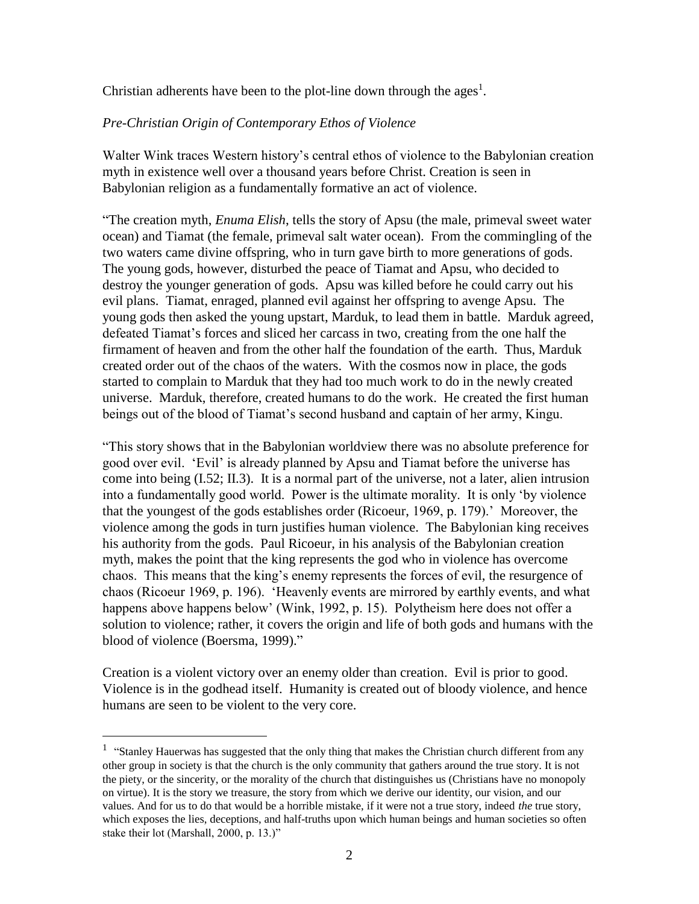Christian adherents have been to the plot-line down through the  $ages<sup>1</sup>$ .

#### *Pre-Christian Origin of Contemporary Ethos of Violence*

Walter Wink traces Western history's central ethos of violence to the Babylonian creation myth in existence well over a thousand years before Christ. Creation is seen in Babylonian religion as a fundamentally formative an act of violence.

"The creation myth, *Enuma Elish*, tells the story of Apsu (the male, primeval sweet water ocean) and Tiamat (the female, primeval salt water ocean). From the commingling of the two waters came divine offspring, who in turn gave birth to more generations of gods. The young gods, however, disturbed the peace of Tiamat and Apsu, who decided to destroy the younger generation of gods. Apsu was killed before he could carry out his evil plans. Tiamat, enraged, planned evil against her offspring to avenge Apsu. The young gods then asked the young upstart, Marduk, to lead them in battle. Marduk agreed, defeated Tiamat's forces and sliced her carcass in two, creating from the one half the firmament of heaven and from the other half the foundation of the earth. Thus, Marduk created order out of the chaos of the waters. With the cosmos now in place, the gods started to complain to Marduk that they had too much work to do in the newly created universe. Marduk, therefore, created humans to do the work. He created the first human beings out of the blood of Tiamat's second husband and captain of her army, Kingu.

"This story shows that in the Babylonian worldview there was no absolute preference for good over evil. 'Evil' is already planned by Apsu and Tiamat before the universe has come into being  $(I.52; II.3)$ . It is a normal part of the universe, not a later, alien intrusion into a fundamentally good world. Power is the ultimate morality. It is only 'by violence that the youngest of the gods establishes order (Ricoeur, 1969, p. 179).' Moreover, the violence among the gods in turn justifies human violence. The Babylonian king receives his authority from the gods. Paul Ricoeur, in his analysis of the Babylonian creation myth, makes the point that the king represents the god who in violence has overcome chaos. This means that the king's enemy represents the forces of evil, the resurgence of chaos (Ricoeur 1969, p. 196). 'Heavenly events are mirrored by earthly events, and what happens above happens below' (Wink, 1992, p. 15). Polytheism here does not offer a solution to violence; rather, it covers the origin and life of both gods and humans with the blood of violence (Boersma, 1999)."

Creation is a violent victory over an enemy older than creation. Evil is prior to good. Violence is in the godhead itself. Humanity is created out of bloody violence, and hence humans are seen to be violent to the very core.

 $\overline{a}$ 

<sup>&</sup>lt;sup>1</sup> "Stanley Hauerwas has suggested that the only thing that makes the Christian church different from any other group in society is that the church is the only community that gathers around the true story. It is not the piety, or the sincerity, or the morality of the church that distinguishes us (Christians have no monopoly on virtue). It is the story we treasure, the story from which we derive our identity, our vision, and our values. And for us to do that would be a horrible mistake, if it were not a true story, indeed *the* true story, which exposes the lies, deceptions, and half-truths upon which human beings and human societies so often stake their lot (Marshall, 2000, p. 13.)"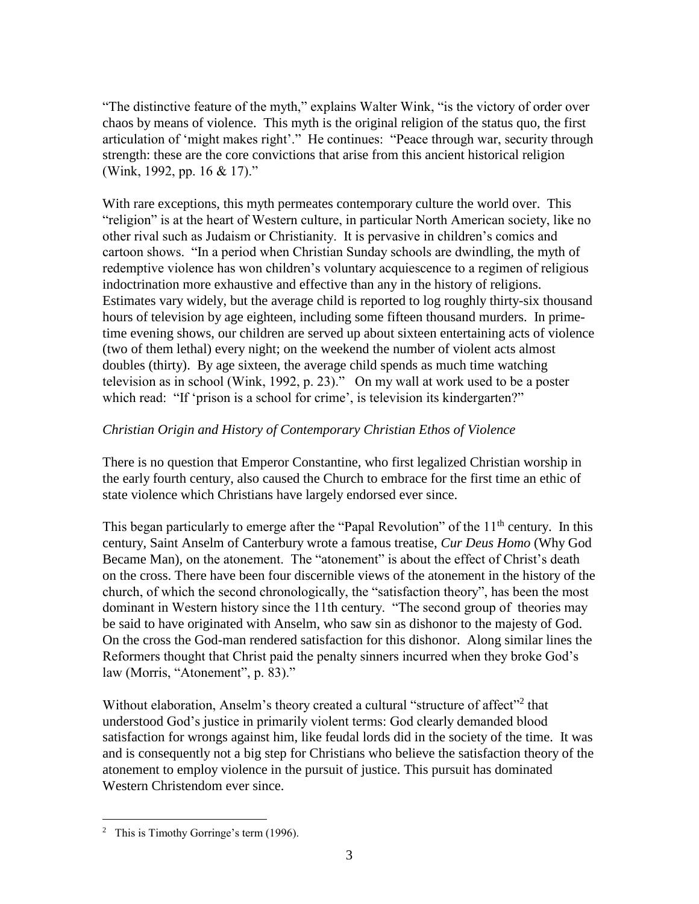"The distinctive feature of the myth," explains Walter Wink, "is the victory of order over chaos by means of violence. This myth is the original religion of the status quo, the first articulation of 'might makes right'." He continues: "Peace through war, security through strength: these are the core convictions that arise from this ancient historical religion (Wink, 1992, pp. 16 & 17)."

With rare exceptions, this myth permeates contemporary culture the world over. This "religion" is at the heart of Western culture, in particular North American society, like no other rival such as Judaism or Christianity. It is pervasive in children's comics and cartoon shows. "In a period when Christian Sunday schools are dwindling, the myth of redemptive violence has won children's voluntary acquiescence to a regimen of religious indoctrination more exhaustive and effective than any in the history of religions. Estimates vary widely, but the average child is reported to log roughly thirty-six thousand hours of television by age eighteen, including some fifteen thousand murders. In primetime evening shows, our children are served up about sixteen entertaining acts of violence (two of them lethal) every night; on the weekend the number of violent acts almost doubles (thirty). By age sixteen, the average child spends as much time watching television as in school (Wink, 1992, p. 23)." On my wall at work used to be a poster which read: "If 'prison is a school for crime', is television its kindergarten?"

# *Christian Origin and History of Contemporary Christian Ethos of Violence*

There is no question that Emperor Constantine, who first legalized Christian worship in the early fourth century, also caused the Church to embrace for the first time an ethic of state violence which Christians have largely endorsed ever since.

This began particularly to emerge after the "Papal Revolution" of the  $11<sup>th</sup>$  century. In this century, Saint Anselm of Canterbury wrote a famous treatise, *Cur Deus Homo* (Why God Became Man), on the atonement. The "atonement" is about the effect of Christ's death on the cross. There have been four discernible views of the atonement in the history of the church, of which the second chronologically, the "satisfaction theory", has been the most dominant in Western history since the 11th century. "The second group of theories may be said to have originated with Anselm, who saw sin as dishonor to the majesty of God. On the cross the God-man rendered satisfaction for this dishonor. Along similar lines the Reformers thought that Christ paid the penalty sinners incurred when they broke God's law (Morris, "Atonement", p. 83)."

Without elaboration, Anselm's theory created a cultural "structure of affect"<sup>2</sup> that understood God's justice in primarily violent terms: God clearly demanded blood satisfaction for wrongs against him, like feudal lords did in the society of the time. It was and is consequently not a big step for Christians who believe the satisfaction theory of the atonement to employ violence in the pursuit of justice. This pursuit has dominated Western Christendom ever since.

 $\overline{a}$ <sup>2</sup> This is Timothy Gorringe's term (1996).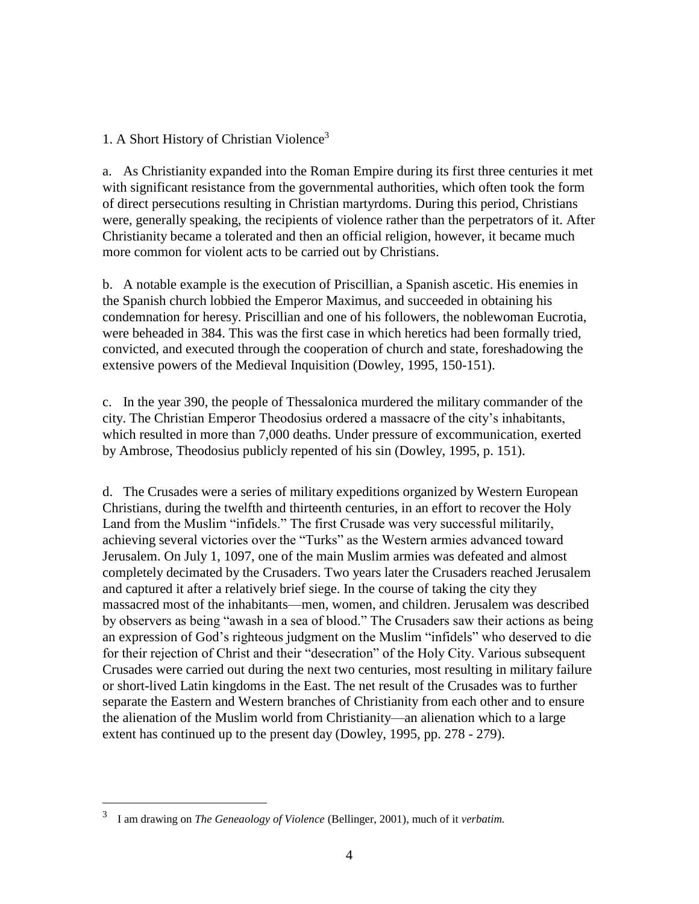#### 1. A Short History of Christian Violence<sup>3</sup>

a. As Christianity expanded into the Roman Empire during its first three centuries it met with significant resistance from the governmental authorities, which often took the form of direct persecutions resulting in Christian martyrdoms. During this period, Christians were, generally speaking, the recipients of violence rather than the perpetrators of it. After Christianity became a tolerated and then an official religion, however, it became much more common for violent acts to be carried out by Christians.

b. A notable example is the execution of Priscillian, a Spanish ascetic. His enemies in the Spanish church lobbied the Emperor Maximus, and succeeded in obtaining his condemnation for heresy. Priscillian and one of his followers, the noblewoman Eucrotia, were beheaded in 384. This was the first case in which heretics had been formally tried, convicted, and executed through the cooperation of church and state, foreshadowing the extensive powers of the Medieval Inquisition (Dowley, 1995, 150-151).

c. In the year 390, the people of Thessalonica murdered the military commander of the city. The Christian Emperor Theodosius ordered a massacre of the city's inhabitants, which resulted in more than 7,000 deaths. Under pressure of excommunication, exerted by Ambrose, Theodosius publicly repented of his sin (Dowley, 1995, p. 151).

d. The Crusades were a series of military expeditions organized by Western European Christians, during the twelfth and thirteenth centuries, in an effort to recover the Holy Land from the Muslim "infidels." The first Crusade was very successful militarily, achieving several victories over the "Turks" as the Western armies advanced toward Jerusalem. On July 1, 1097, one of the main Muslim armies was defeated and almost completely decimated by the Crusaders. Two years later the Crusaders reached Jerusalem and captured it after a relatively brief siege. In the course of taking the city they massacred most of the inhabitants—men, women, and children. Jerusalem was described by observers as being "awash in a sea of blood." The Crusaders saw their actions as being an expression of God's righteous judgment on the Muslim "infidels" who deserved to die for their rejection of Christ and their "desecration" of the Holy City. Various subsequent Crusades were carried out during the next two centuries, most resulting in military failure or short-lived Latin kingdoms in the East. The net result of the Crusades was to further separate the Eastern and Western branches of Christianity from each other and to ensure the alienation of the Muslim world from Christianity—an alienation which to a large extent has continued up to the present day (Dowley, 1995, pp. 278 - 279).

 $\overline{a}$ 

<sup>3</sup> I am drawing on *The Geneaology of Violence* (Bellinger, 2001), much of it *verbatim.*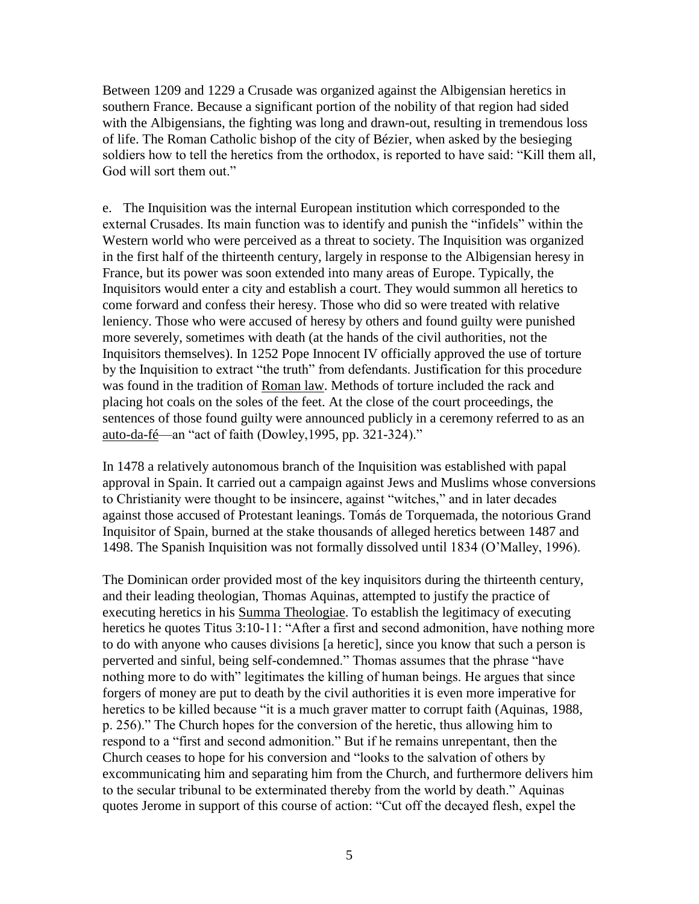Between 1209 and 1229 a Crusade was organized against the Albigensian heretics in southern France. Because a significant portion of the nobility of that region had sided with the Albigensians, the fighting was long and drawn-out, resulting in tremendous loss of life. The Roman Catholic bishop of the city of Bézier, when asked by the besieging soldiers how to tell the heretics from the orthodox, is reported to have said: "Kill them all, God will sort them out."

e. The Inquisition was the internal European institution which corresponded to the external Crusades. Its main function was to identify and punish the "infidels" within the Western world who were perceived as a threat to society. The Inquisition was organized in the first half of the thirteenth century, largely in response to the Albigensian heresy in France, but its power was soon extended into many areas of Europe. Typically, the Inquisitors would enter a city and establish a court. They would summon all heretics to come forward and confess their heresy. Those who did so were treated with relative leniency. Those who were accused of heresy by others and found guilty were punished more severely, sometimes with death (at the hands of the civil authorities, not the Inquisitors themselves). In 1252 Pope Innocent IV officially approved the use of torture by the Inquisition to extract "the truth" from defendants. Justification for this procedure was found in the tradition of Roman law. Methods of torture included the rack and placing hot coals on the soles of the feet. At the close of the court proceedings, the sentences of those found guilty were announced publicly in a ceremony referred to as an auto-da-fé—an "act of faith (Dowley,1995, pp. 321-324)."

In 1478 a relatively autonomous branch of the Inquisition was established with papal approval in Spain. It carried out a campaign against Jews and Muslims whose conversions to Christianity were thought to be insincere, against "witches," and in later decades against those accused of Protestant leanings. Tomás de Torquemada, the notorious Grand Inquisitor of Spain, burned at the stake thousands of alleged heretics between 1487 and 1498. The Spanish Inquisition was not formally dissolved until 1834 (O'Malley, 1996).

The Dominican order provided most of the key inquisitors during the thirteenth century, and their leading theologian, Thomas Aquinas, attempted to justify the practice of executing heretics in his Summa Theologiae. To establish the legitimacy of executing heretics he quotes Titus 3:10-11: "After a first and second admonition, have nothing more to do with anyone who causes divisions [a heretic], since you know that such a person is perverted and sinful, being self-condemned." Thomas assumes that the phrase "have nothing more to do with" legitimates the killing of human beings. He argues that since forgers of money are put to death by the civil authorities it is even more imperative for heretics to be killed because "it is a much graver matter to corrupt faith (Aquinas, 1988, p. 256)." The Church hopes for the conversion of the heretic, thus allowing him to respond to a "first and second admonition." But if he remains unrepentant, then the Church ceases to hope for his conversion and "looks to the salvation of others by excommunicating him and separating him from the Church, and furthermore delivers him to the secular tribunal to be exterminated thereby from the world by death." Aquinas quotes Jerome in support of this course of action: "Cut off the decayed flesh, expel the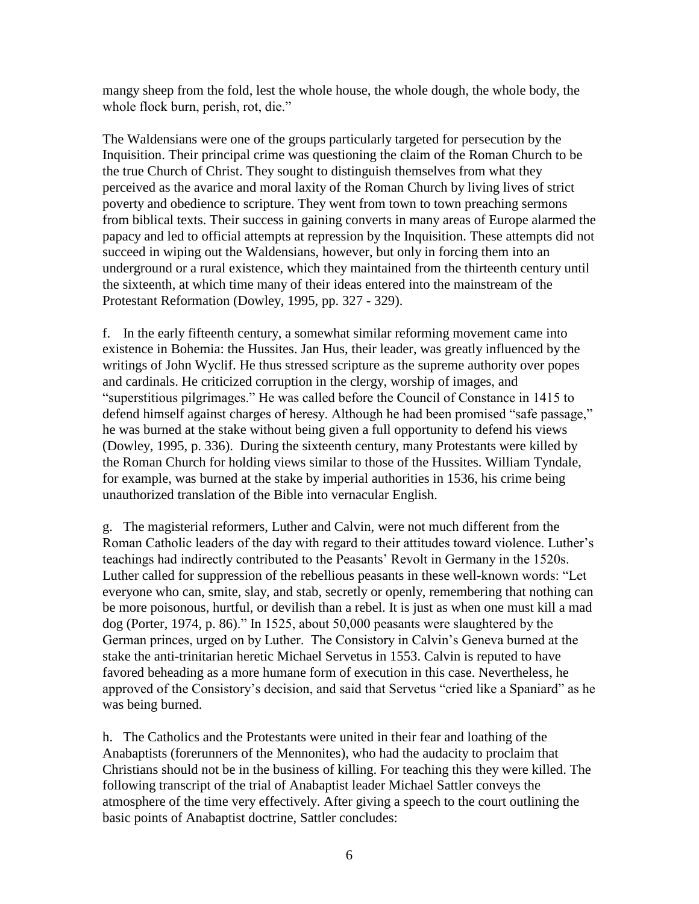mangy sheep from the fold, lest the whole house, the whole dough, the whole body, the whole flock burn, perish, rot, die."

The Waldensians were one of the groups particularly targeted for persecution by the Inquisition. Their principal crime was questioning the claim of the Roman Church to be the true Church of Christ. They sought to distinguish themselves from what they perceived as the avarice and moral laxity of the Roman Church by living lives of strict poverty and obedience to scripture. They went from town to town preaching sermons from biblical texts. Their success in gaining converts in many areas of Europe alarmed the papacy and led to official attempts at repression by the Inquisition. These attempts did not succeed in wiping out the Waldensians, however, but only in forcing them into an underground or a rural existence, which they maintained from the thirteenth century until the sixteenth, at which time many of their ideas entered into the mainstream of the Protestant Reformation (Dowley, 1995, pp. 327 - 329).

f. In the early fifteenth century, a somewhat similar reforming movement came into existence in Bohemia: the Hussites. Jan Hus, their leader, was greatly influenced by the writings of John Wyclif. He thus stressed scripture as the supreme authority over popes and cardinals. He criticized corruption in the clergy, worship of images, and "superstitious pilgrimages." He was called before the Council of Constance in 1415 to defend himself against charges of heresy. Although he had been promised "safe passage," he was burned at the stake without being given a full opportunity to defend his views (Dowley, 1995, p. 336). During the sixteenth century, many Protestants were killed by the Roman Church for holding views similar to those of the Hussites. William Tyndale, for example, was burned at the stake by imperial authorities in 1536, his crime being unauthorized translation of the Bible into vernacular English.

g. The magisterial reformers, Luther and Calvin, were not much different from the Roman Catholic leaders of the day with regard to their attitudes toward violence. Luther's teachings had indirectly contributed to the Peasants' Revolt in Germany in the 1520s. Luther called for suppression of the rebellious peasants in these well-known words: "Let everyone who can, smite, slay, and stab, secretly or openly, remembering that nothing can be more poisonous, hurtful, or devilish than a rebel. It is just as when one must kill a mad dog (Porter, 1974, p. 86)." In 1525, about 50,000 peasants were slaughtered by the German princes, urged on by Luther. The Consistory in Calvin's Geneva burned at the stake the anti-trinitarian heretic Michael Servetus in 1553. Calvin is reputed to have favored beheading as a more humane form of execution in this case. Nevertheless, he approved of the Consistory's decision, and said that Servetus "cried like a Spaniard" as he was being burned.

h. The Catholics and the Protestants were united in their fear and loathing of the Anabaptists (forerunners of the Mennonites), who had the audacity to proclaim that Christians should not be in the business of killing. For teaching this they were killed. The following transcript of the trial of Anabaptist leader Michael Sattler conveys the atmosphere of the time very effectively. After giving a speech to the court outlining the basic points of Anabaptist doctrine, Sattler concludes: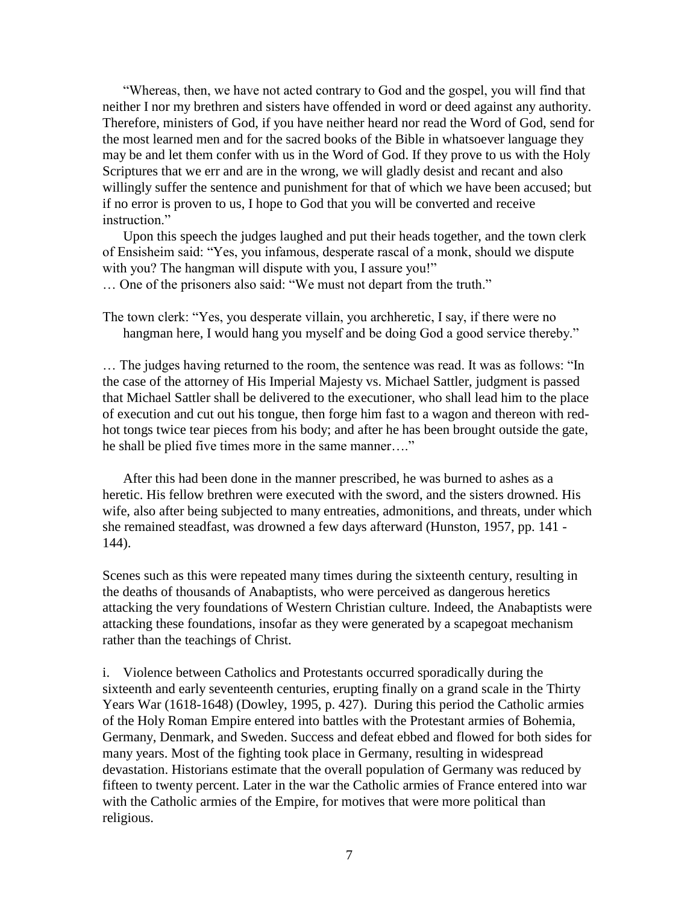"Whereas, then, we have not acted contrary to God and the gospel, you will find that neither I nor my brethren and sisters have offended in word or deed against any authority. Therefore, ministers of God, if you have neither heard nor read the Word of God, send for the most learned men and for the sacred books of the Bible in whatsoever language they may be and let them confer with us in the Word of God. If they prove to us with the Holy Scriptures that we err and are in the wrong, we will gladly desist and recant and also willingly suffer the sentence and punishment for that of which we have been accused; but if no error is proven to us, I hope to God that you will be converted and receive instruction."

Upon this speech the judges laughed and put their heads together, and the town clerk of Ensisheim said: "Yes, you infamous, desperate rascal of a monk, should we dispute with you? The hangman will dispute with you, I assure you!"

… One of the prisoners also said: "We must not depart from the truth."

The town clerk: "Yes, you desperate villain, you archheretic, I say, if there were no hangman here, I would hang you myself and be doing God a good service thereby."

… The judges having returned to the room, the sentence was read. It was as follows: "In the case of the attorney of His Imperial Majesty vs. Michael Sattler, judgment is passed that Michael Sattler shall be delivered to the executioner, who shall lead him to the place of execution and cut out his tongue, then forge him fast to a wagon and thereon with redhot tongs twice tear pieces from his body; and after he has been brought outside the gate, he shall be plied five times more in the same manner…."

After this had been done in the manner prescribed, he was burned to ashes as a heretic. His fellow brethren were executed with the sword, and the sisters drowned. His wife, also after being subjected to many entreaties, admonitions, and threats, under which she remained steadfast, was drowned a few days afterward (Hunston, 1957, pp. 141 - 144).

Scenes such as this were repeated many times during the sixteenth century, resulting in the deaths of thousands of Anabaptists, who were perceived as dangerous heretics attacking the very foundations of Western Christian culture. Indeed, the Anabaptists were attacking these foundations, insofar as they were generated by a scapegoat mechanism rather than the teachings of Christ.

i. Violence between Catholics and Protestants occurred sporadically during the sixteenth and early seventeenth centuries, erupting finally on a grand scale in the Thirty Years War (1618-1648) (Dowley, 1995, p. 427). During this period the Catholic armies of the Holy Roman Empire entered into battles with the Protestant armies of Bohemia, Germany, Denmark, and Sweden. Success and defeat ebbed and flowed for both sides for many years. Most of the fighting took place in Germany, resulting in widespread devastation. Historians estimate that the overall population of Germany was reduced by fifteen to twenty percent. Later in the war the Catholic armies of France entered into war with the Catholic armies of the Empire, for motives that were more political than religious.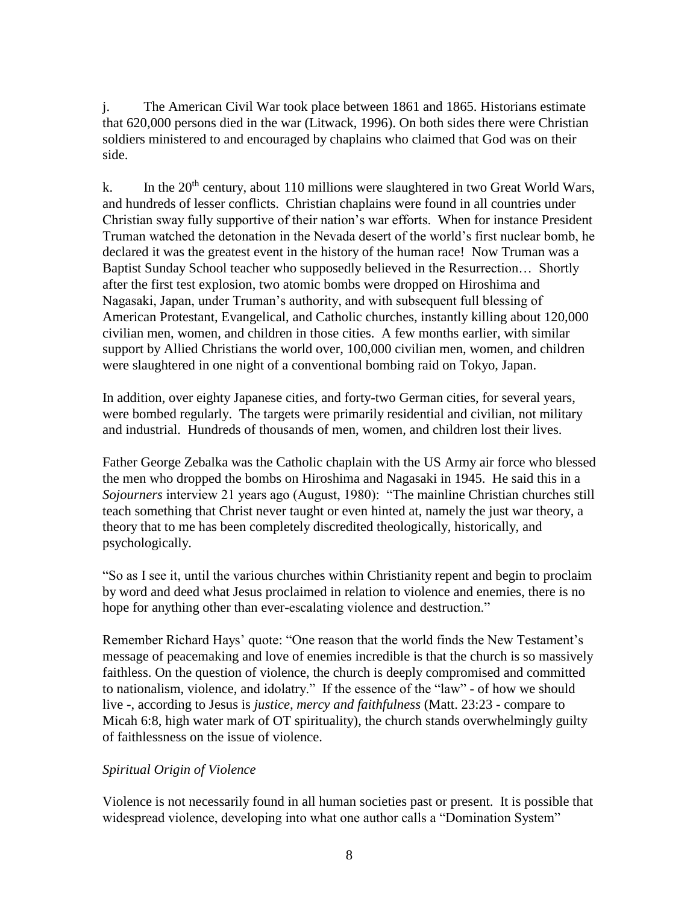j. The American Civil War took place between 1861 and 1865. Historians estimate that 620,000 persons died in the war (Litwack, 1996). On both sides there were Christian soldiers ministered to and encouraged by chaplains who claimed that God was on their side.

k. In the  $20<sup>th</sup>$  century, about 110 millions were slaughtered in two Great World Wars, and hundreds of lesser conflicts. Christian chaplains were found in all countries under Christian sway fully supportive of their nation's war efforts. When for instance President Truman watched the detonation in the Nevada desert of the world's first nuclear bomb, he declared it was the greatest event in the history of the human race! Now Truman was a Baptist Sunday School teacher who supposedly believed in the Resurrection… Shortly after the first test explosion, two atomic bombs were dropped on Hiroshima and Nagasaki, Japan, under Truman's authority, and with subsequent full blessing of American Protestant, Evangelical, and Catholic churches, instantly killing about 120,000 civilian men, women, and children in those cities. A few months earlier, with similar support by Allied Christians the world over, 100,000 civilian men, women, and children were slaughtered in one night of a conventional bombing raid on Tokyo, Japan.

In addition, over eighty Japanese cities, and forty-two German cities, for several years, were bombed regularly. The targets were primarily residential and civilian, not military and industrial. Hundreds of thousands of men, women, and children lost their lives.

Father George Zebalka was the Catholic chaplain with the US Army air force who blessed the men who dropped the bombs on Hiroshima and Nagasaki in 1945. He said this in a *Sojourners* interview 21 years ago (August, 1980): "The mainline Christian churches still teach something that Christ never taught or even hinted at, namely the just war theory, a theory that to me has been completely discredited theologically, historically, and psychologically.

"So as I see it, until the various churches within Christianity repent and begin to proclaim by word and deed what Jesus proclaimed in relation to violence and enemies, there is no hope for anything other than ever-escalating violence and destruction."

Remember Richard Hays' quote: "One reason that the world finds the New Testament's message of peacemaking and love of enemies incredible is that the church is so massively faithless. On the question of violence, the church is deeply compromised and committed to nationalism, violence, and idolatry." If the essence of the "law" - of how we should live -, according to Jesus is *justice, mercy and faithfulness* (Matt. 23:23 - compare to Micah 6:8, high water mark of OT spirituality), the church stands overwhelmingly guilty of faithlessness on the issue of violence.

#### *Spiritual Origin of Violence*

Violence is not necessarily found in all human societies past or present. It is possible that widespread violence, developing into what one author calls a "Domination System"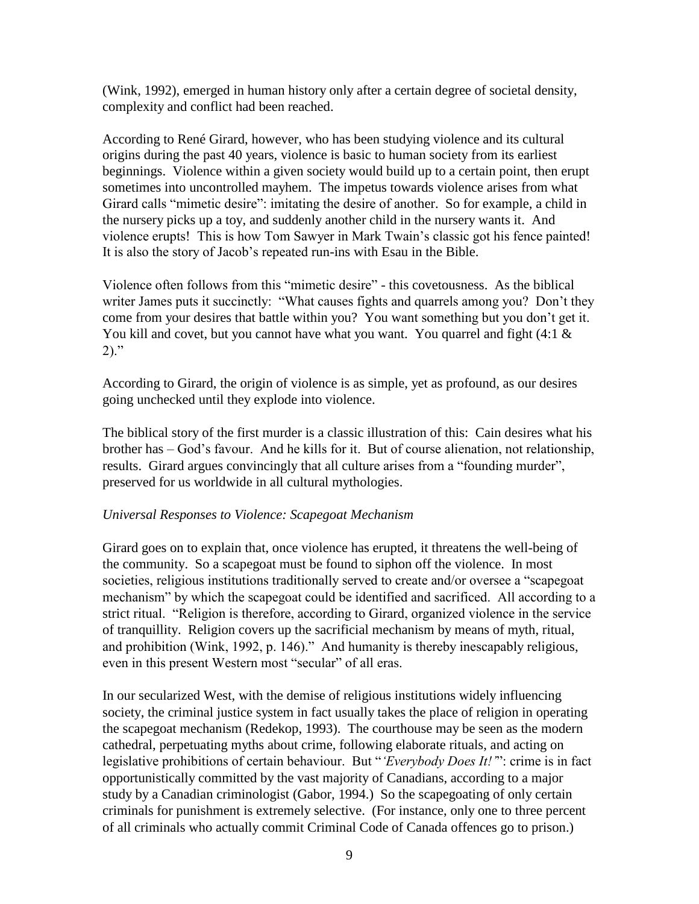(Wink, 1992), emerged in human history only after a certain degree of societal density, complexity and conflict had been reached.

According to René Girard, however, who has been studying violence and its cultural origins during the past 40 years, violence is basic to human society from its earliest beginnings. Violence within a given society would build up to a certain point, then erupt sometimes into uncontrolled mayhem. The impetus towards violence arises from what Girard calls "mimetic desire": imitating the desire of another. So for example, a child in the nursery picks up a toy, and suddenly another child in the nursery wants it. And violence erupts! This is how Tom Sawyer in Mark Twain's classic got his fence painted! It is also the story of Jacob's repeated run-ins with Esau in the Bible.

Violence often follows from this "mimetic desire" - this covetousness. As the biblical writer James puts it succinctly: "What causes fights and quarrels among you? Don't they come from your desires that battle within you? You want something but you don't get it. You kill and covet, but you cannot have what you want. You quarrel and fight (4:1 &  $2)$ ."

According to Girard, the origin of violence is as simple, yet as profound, as our desires going unchecked until they explode into violence.

The biblical story of the first murder is a classic illustration of this: Cain desires what his brother has – God's favour. And he kills for it. But of course alienation, not relationship, results. Girard argues convincingly that all culture arises from a "founding murder", preserved for us worldwide in all cultural mythologies.

#### *Universal Responses to Violence: Scapegoat Mechanism*

Girard goes on to explain that, once violence has erupted, it threatens the well-being of the community. So a scapegoat must be found to siphon off the violence. In most societies, religious institutions traditionally served to create and/or oversee a "scapegoat mechanism" by which the scapegoat could be identified and sacrificed. All according to a strict ritual. "Religion is therefore, according to Girard, organized violence in the service of tranquillity. Religion covers up the sacrificial mechanism by means of myth, ritual, and prohibition (Wink, 1992, p. 146)." And humanity is thereby inescapably religious, even in this present Western most "secular" of all eras.

In our secularized West, with the demise of religious institutions widely influencing society, the criminal justice system in fact usually takes the place of religion in operating the scapegoat mechanism (Redekop, 1993). The courthouse may be seen as the modern cathedral, perpetuating myths about crime, following elaborate rituals, and acting on legislative prohibitions of certain behaviour. But "*'Everybody Does It!'*": crime is in fact opportunistically committed by the vast majority of Canadians, according to a major study by a Canadian criminologist (Gabor, 1994.) So the scapegoating of only certain criminals for punishment is extremely selective. (For instance, only one to three percent of all criminals who actually commit Criminal Code of Canada offences go to prison.)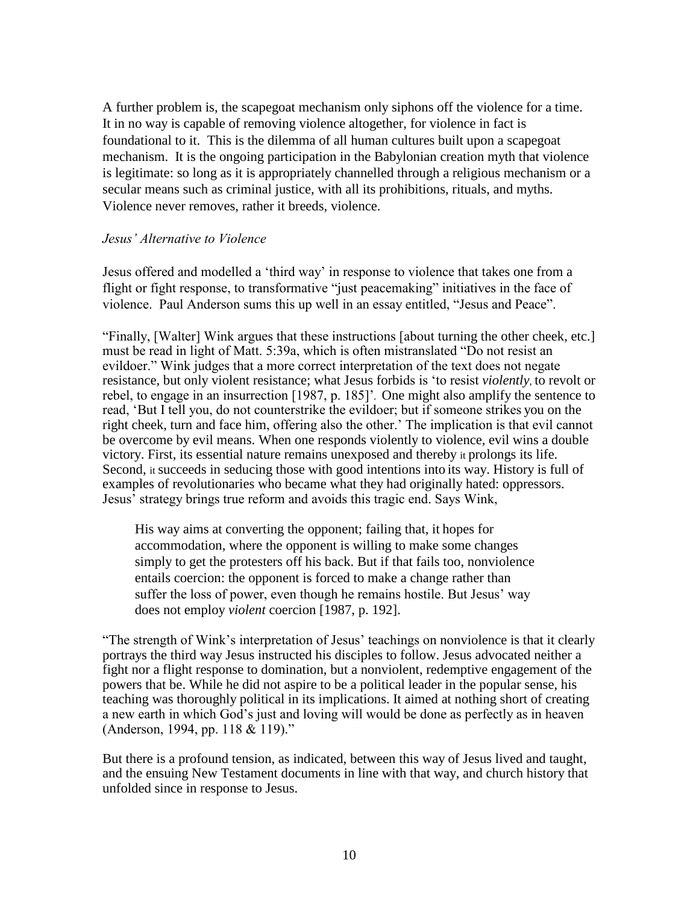A further problem is, the scapegoat mechanism only siphons off the violence for a time. It in no way is capable of removing violence altogether, for violence in fact is foundational to it. This is the dilemma of all human cultures built upon a scapegoat mechanism. It is the ongoing participation in the Babylonian creation myth that violence is legitimate: so long as it is appropriately channelled through a religious mechanism or a secular means such as criminal justice, with all its prohibitions, rituals, and myths. Violence never removes, rather it breeds, violence.

#### *Jesus' Alternative to Violence*

Jesus offered and modelled a 'third way' in response to violence that takes one from a flight or fight response, to transformative "just peacemaking" initiatives in the face of violence. Paul Anderson sums this up well in an essay entitled, "Jesus and Peace".

"Finally, [Walter] Wink argues that these instructions [about turning the other cheek, etc.] must be read in light of Matt. 5:39a, which is often mistranslated "Do not resist an evildoer." Wink judges that a more correct interpretation of the text does not negate resistance, but only violent resistance; what Jesus forbids is 'to resist *violently,* to revolt or rebel, to engage in an insurrection [1987, p. 185]'*.* One might also amplify the sentence to read, 'But I tell you, do not counterstrike the evildoer; but if someone strikes you on the right cheek, turn and face him, offering also the other.' The implication is that evil cannot be overcome by evil means. When one responds violently to violence, evil wins a double victory. First, its essential nature remains unexposed and thereby it prolongs its life. Second, it succeeds in seducing those with good intentions into its way. History is full of examples of revolutionaries who became what they had originally hated: oppressors. Jesus' strategy brings true reform and avoids this tragic end. Says Wink,

His way aims at converting the opponent; failing that, it hopes for accommodation, where the opponent is willing to make some changes simply to get the protesters off his back. But if that fails too, nonviolence entails coercion: the opponent is forced to make a change rather than suffer the loss of power, even though he remains hostile. But Jesus' way does not employ *violent* coercion [1987, p. 192].

"The strength of Wink's interpretation of Jesus' teachings on nonviolence is that it clearly portrays the third way Jesus instructed his disciples to follow. Jesus advocated neither a fight nor a flight response to domination, but a nonviolent, redemptive engagement of the powers that be. While he did not aspire to be a political leader in the popular sense, his teaching was thoroughly political in its implications. It aimed at nothing short of creating a new earth in which God's just and loving will would be done as perfectly as in heaven (Anderson, 1994, pp. 118 & 119)."

But there is a profound tension, as indicated, between this way of Jesus lived and taught, and the ensuing New Testament documents in line with that way, and church history that unfolded since in response to Jesus.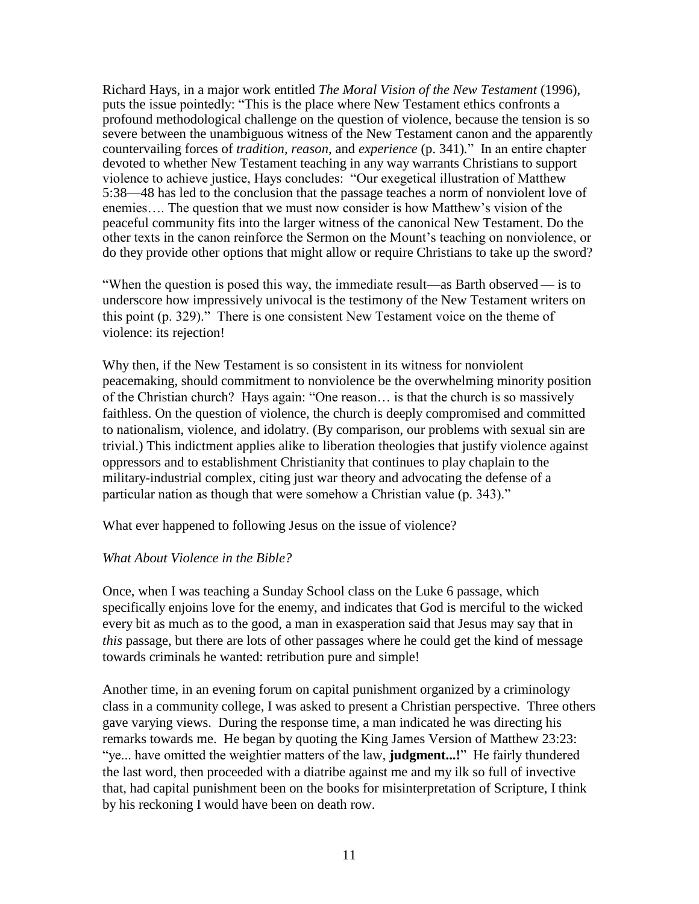Richard Hays, in a major work entitled *The Moral Vision of the New Testament* (1996), puts the issue pointedly: "This is the place where New Testament ethics confronts a profound methodological challenge on the question of violence, because the tension is so severe between the unambiguous witness of the New Testament canon and the apparently countervailing forces of *tradition, reason,* and *experience* (p. 341)*.*" In an entire chapter devoted to whether New Testament teaching in any way warrants Christians to support violence to achieve justice, Hays concludes: "Our exegetical illustration of Matthew 5:38—48 has led to the conclusion that the passage teaches a norm of nonviolent love of enemies…. The question that we must now consider is how Matthew's vision of the peaceful community fits into the larger witness of the canonical New Testament. Do the other texts in the canon reinforce the Sermon on the Mount's teaching on nonviolence, or do they provide other options that might allow or require Christians to take up the sword?

"When the question is posed this way, the immediate result—as Barth observed — is to underscore how impressively univocal is the testimony of the New Testament writers on this point (p. 329)." There is one consistent New Testament voice on the theme of violence: its rejection!

Why then, if the New Testament is so consistent in its witness for nonviolent peacemaking, should commitment to nonviolence be the overwhelming minority position of the Christian church? Hays again: "One reason… is that the church is so massively faithless. On the question of violence, the church is deeply compromised and committed to nationalism, violence, and idolatry. (By comparison, our problems with sexual sin are trivial.) This indictment applies alike to liberation theologies that justify violence against oppressors and to establishment Christianity that continues to play chaplain to the military-industrial complex, citing just war theory and advocating the defense of a particular nation as though that were somehow a Christian value (p. 343)."

What ever happened to following Jesus on the issue of violence?

#### *What About Violence in the Bible?*

Once, when I was teaching a Sunday School class on the Luke 6 passage, which specifically enjoins love for the enemy, and indicates that God is merciful to the wicked every bit as much as to the good, a man in exasperation said that Jesus may say that in *this* passage, but there are lots of other passages where he could get the kind of message towards criminals he wanted: retribution pure and simple!

Another time, in an evening forum on capital punishment organized by a criminology class in a community college, I was asked to present a Christian perspective. Three others gave varying views. During the response time, a man indicated he was directing his remarks towards me. He began by quoting the King James Version of Matthew 23:23: "ye... have omitted the weightier matters of the law, **judgment...!**" He fairly thundered the last word, then proceeded with a diatribe against me and my ilk so full of invective that, had capital punishment been on the books for misinterpretation of Scripture, I think by his reckoning I would have been on death row.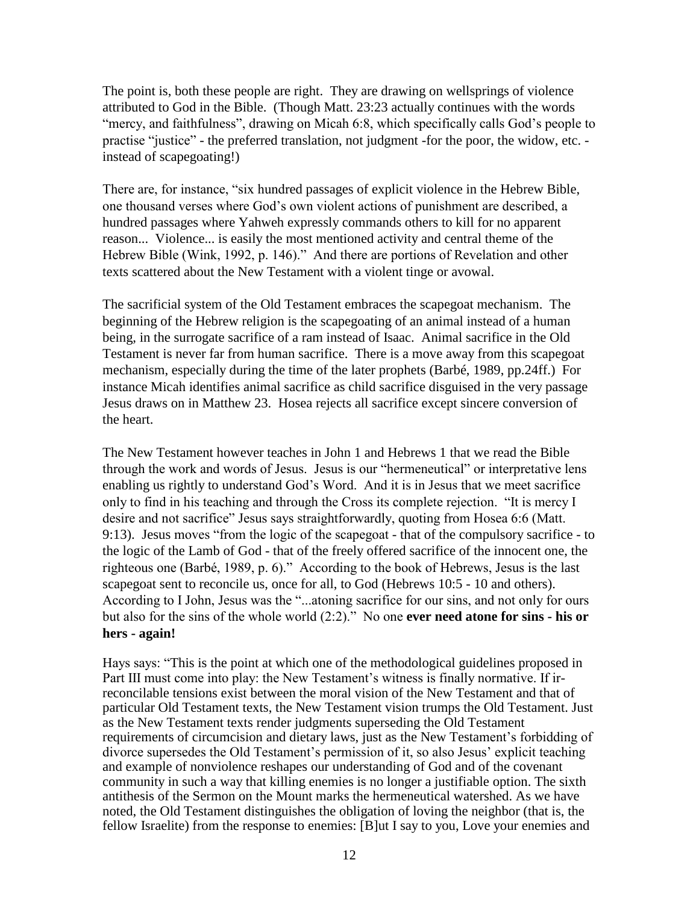The point is, both these people are right. They are drawing on wellsprings of violence attributed to God in the Bible. (Though Matt. 23:23 actually continues with the words "mercy, and faithfulness", drawing on Micah 6:8, which specifically calls God's people to practise "justice" - the preferred translation, not judgment -for the poor, the widow, etc. instead of scapegoating!)

There are, for instance, "six hundred passages of explicit violence in the Hebrew Bible, one thousand verses where God's own violent actions of punishment are described, a hundred passages where Yahweh expressly commands others to kill for no apparent reason... Violence... is easily the most mentioned activity and central theme of the Hebrew Bible (Wink, 1992, p. 146)." And there are portions of Revelation and other texts scattered about the New Testament with a violent tinge or avowal.

The sacrificial system of the Old Testament embraces the scapegoat mechanism. The beginning of the Hebrew religion is the scapegoating of an animal instead of a human being, in the surrogate sacrifice of a ram instead of Isaac. Animal sacrifice in the Old Testament is never far from human sacrifice. There is a move away from this scapegoat mechanism, especially during the time of the later prophets (Barbé, 1989, pp.24ff.) For instance Micah identifies animal sacrifice as child sacrifice disguised in the very passage Jesus draws on in Matthew 23. Hosea rejects all sacrifice except sincere conversion of the heart.

The New Testament however teaches in John 1 and Hebrews 1 that we read the Bible through the work and words of Jesus. Jesus is our "hermeneutical" or interpretative lens enabling us rightly to understand God's Word. And it is in Jesus that we meet sacrifice only to find in his teaching and through the Cross its complete rejection. "It is mercy I desire and not sacrifice" Jesus says straightforwardly, quoting from Hosea 6:6 (Matt. 9:13). Jesus moves "from the logic of the scapegoat - that of the compulsory sacrifice - to the logic of the Lamb of God - that of the freely offered sacrifice of the innocent one, the righteous one (Barbé, 1989, p. 6)." According to the book of Hebrews, Jesus is the last scapegoat sent to reconcile us, once for all, to God (Hebrews 10:5 - 10 and others). According to I John, Jesus was the "...atoning sacrifice for our sins, and not only for ours but also for the sins of the whole world (2:2)." No one **ever need atone for sins - his or hers - again!**

Hays says: "This is the point at which one of the methodological guidelines proposed in Part III must come into play: the New Testament's witness is finally normative. If irreconcilable tensions exist between the moral vision of the New Testament and that of particular Old Testament texts, the New Testament vision trumps the Old Testament. Just as the New Testament texts render judgments superseding the Old Testament requirements of circumcision and dietary laws, just as the New Testament's forbidding of divorce supersedes the Old Testament's permission of it, so also Jesus' explicit teaching and example of nonviolence reshapes our understanding of God and of the covenant community in such a way that killing enemies is no longer a justifiable option. The sixth antithesis of the Sermon on the Mount marks the hermeneutical watershed. As we have noted, the Old Testament distinguishes the obligation of loving the neighbor (that is, the fellow Israelite) from the response to enemies: [B]ut I say to you, Love your enemies and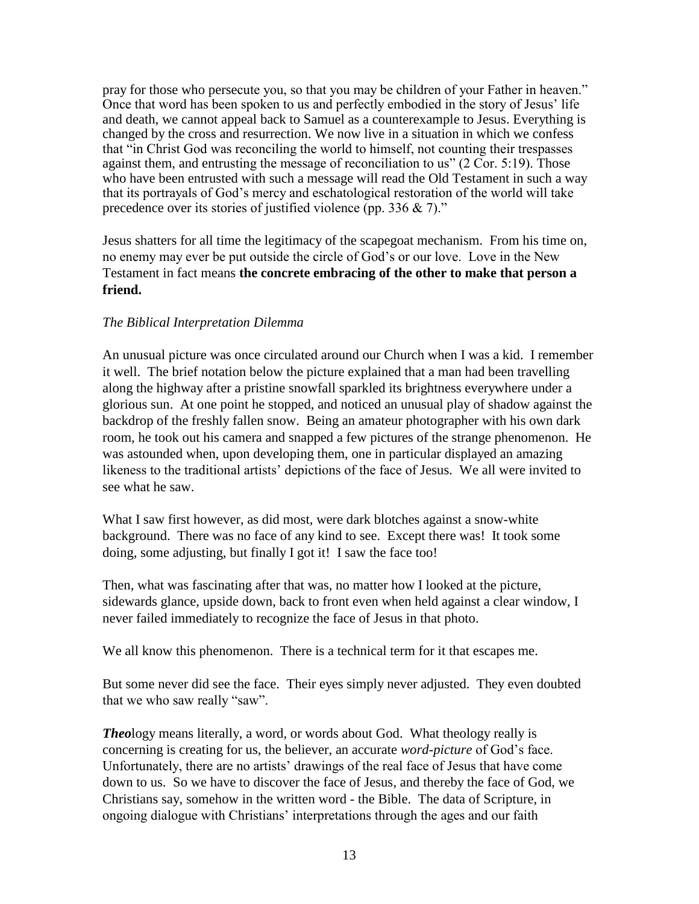pray for those who persecute you, so that you may be children of your Father in heaven." Once that word has been spoken to us and perfectly embodied in the story of Jesus' life and death, we cannot appeal back to Samuel as a counterexample to Jesus. Everything is changed by the cross and resurrection. We now live in a situation in which we confess that "in Christ God was reconciling the world to himself, not counting their trespasses against them, and entrusting the message of reconciliation to us" (2 Cor. 5:19). Those who have been entrusted with such a message will read the Old Testament in such a way that its portrayals of God's mercy and eschatological restoration of the world will take precedence over its stories of justified violence (pp. 336 & 7)."

Jesus shatters for all time the legitimacy of the scapegoat mechanism. From his time on, no enemy may ever be put outside the circle of God's or our love. Love in the New Testament in fact means **the concrete embracing of the other to make that person a friend.**

#### *The Biblical Interpretation Dilemma*

An unusual picture was once circulated around our Church when I was a kid. I remember it well. The brief notation below the picture explained that a man had been travelling along the highway after a pristine snowfall sparkled its brightness everywhere under a glorious sun. At one point he stopped, and noticed an unusual play of shadow against the backdrop of the freshly fallen snow. Being an amateur photographer with his own dark room, he took out his camera and snapped a few pictures of the strange phenomenon. He was astounded when, upon developing them, one in particular displayed an amazing likeness to the traditional artists' depictions of the face of Jesus. We all were invited to see what he saw.

What I saw first however, as did most, were dark blotches against a snow-white background. There was no face of any kind to see. Except there was! It took some doing, some adjusting, but finally I got it! I saw the face too!

Then, what was fascinating after that was, no matter how I looked at the picture, sidewards glance, upside down, back to front even when held against a clear window, I never failed immediately to recognize the face of Jesus in that photo.

We all know this phenomenon. There is a technical term for it that escapes me.

But some never did see the face. Their eyes simply never adjusted. They even doubted that we who saw really "saw".

*Theo*logy means literally, a word, or words about God. What theology really is concerning is creating for us, the believer, an accurate *word-picture* of God's face. Unfortunately, there are no artists' drawings of the real face of Jesus that have come down to us. So we have to discover the face of Jesus, and thereby the face of God, we Christians say, somehow in the written word - the Bible. The data of Scripture, in ongoing dialogue with Christians' interpretations through the ages and our faith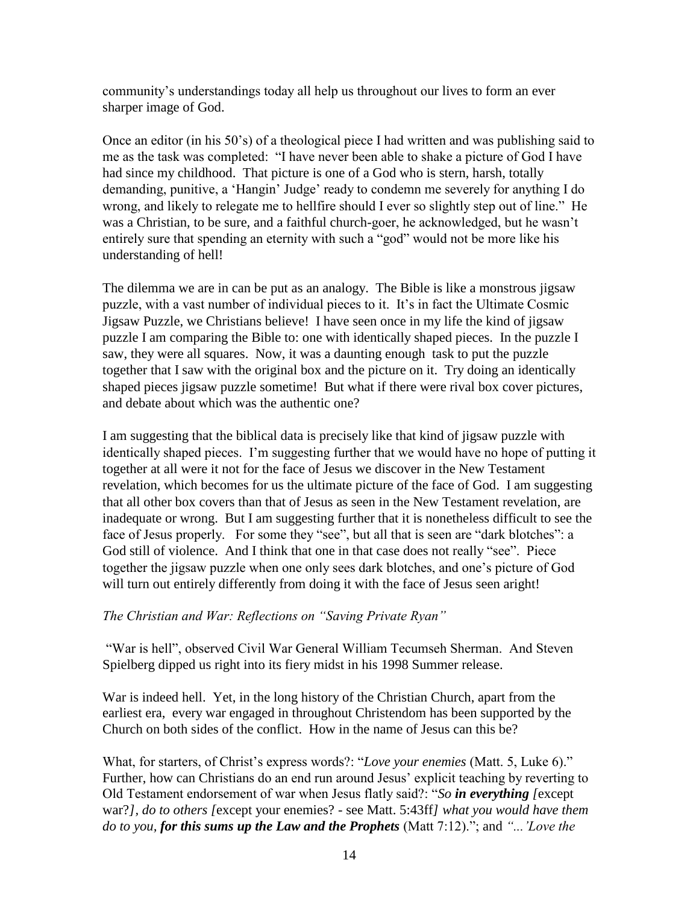community's understandings today all help us throughout our lives to form an ever sharper image of God.

Once an editor (in his 50's) of a theological piece I had written and was publishing said to me as the task was completed: "I have never been able to shake a picture of God I have had since my childhood. That picture is one of a God who is stern, harsh, totally demanding, punitive, a 'Hangin' Judge' ready to condemn me severely for anything I do wrong, and likely to relegate me to hellfire should I ever so slightly step out of line." He was a Christian, to be sure, and a faithful church-goer, he acknowledged, but he wasn't entirely sure that spending an eternity with such a "god" would not be more like his understanding of hell!

The dilemma we are in can be put as an analogy. The Bible is like a monstrous jigsaw puzzle, with a vast number of individual pieces to it. It's in fact the Ultimate Cosmic Jigsaw Puzzle, we Christians believe! I have seen once in my life the kind of jigsaw puzzle I am comparing the Bible to: one with identically shaped pieces. In the puzzle I saw, they were all squares. Now, it was a daunting enough task to put the puzzle together that I saw with the original box and the picture on it. Try doing an identically shaped pieces jigsaw puzzle sometime! But what if there were rival box cover pictures, and debate about which was the authentic one?

I am suggesting that the biblical data is precisely like that kind of jigsaw puzzle with identically shaped pieces. I'm suggesting further that we would have no hope of putting it together at all were it not for the face of Jesus we discover in the New Testament revelation, which becomes for us the ultimate picture of the face of God. I am suggesting that all other box covers than that of Jesus as seen in the New Testament revelation, are inadequate or wrong. But I am suggesting further that it is nonetheless difficult to see the face of Jesus properly. For some they "see", but all that is seen are "dark blotches": a God still of violence. And I think that one in that case does not really "see". Piece together the jigsaw puzzle when one only sees dark blotches, and one's picture of God will turn out entirely differently from doing it with the face of Jesus seen aright!

*The Christian and War: Reflections on "Saving Private Ryan"*

"War is hell", observed Civil War General William Tecumseh Sherman. And Steven Spielberg dipped us right into its fiery midst in his 1998 Summer release.

War is indeed hell. Yet, in the long history of the Christian Church, apart from the earliest era, every war engaged in throughout Christendom has been supported by the Church on both sides of the conflict. How in the name of Jesus can this be?

What, for starters, of Christ's express words?: "*Love your enemies* (Matt. 5, Luke 6)." Further, how can Christians do an end run around Jesus' explicit teaching by reverting to Old Testament endorsement of war when Jesus flatly said?: "*So in everything [*except war?*], do to others [*except your enemies? - see Matt. 5:43ff*] what you would have them do to you, for this sums up the Law and the Prophets* (Matt 7:12)."; and *"...'Love the*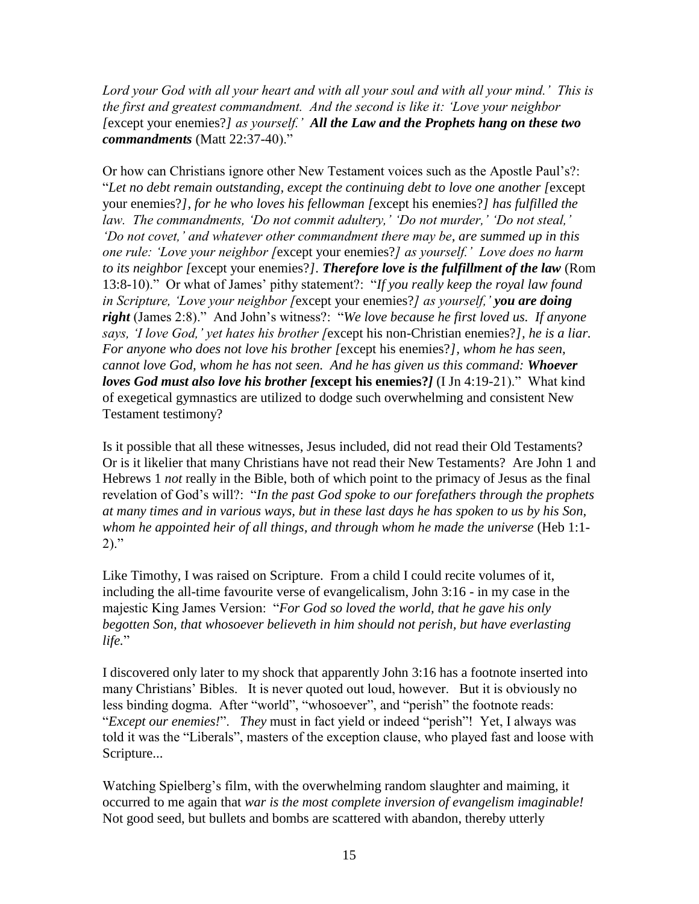*Lord your God with all your heart and with all your soul and with all your mind.' This is the first and greatest commandment. And the second is like it: 'Love your neighbor [*except your enemies?*] as yourself.' All the Law and the Prophets hang on these two commandments* (Matt 22:37-40)."

Or how can Christians ignore other New Testament voices such as the Apostle Paul's?: "*Let no debt remain outstanding, except the continuing debt to love one another [*except your enemies?*], for he who loves his fellowman [*except his enemies?*] has fulfilled the law. The commandments, 'Do not commit adultery,' 'Do not murder,' 'Do not steal,' 'Do not covet,' and whatever other commandment there may be, are summed up in this one rule: 'Love your neighbor [*except your enemies?*] as yourself.' Love does no harm to its neighbor [*except your enemies?*]. Therefore love is the fulfillment of the law* (Rom 13:8-10)." Or what of James' pithy statement?: "*If you really keep the royal law found in Scripture, 'Love your neighbor [*except your enemies?*] as yourself,' you are doing right* (James 2:8)." And John's witness?: "*We love because he first loved us. If anyone says, 'I love God,' yet hates his brother [*except his non-Christian enemies?*], he is a liar. For anyone who does not love his brother [*except his enemies?*], whom he has seen, cannot love God, whom he has not seen. And he has given us this command: Whoever loves God must also love his brother [***except his enemies?***]* (I Jn 4:19-21)." What kind of exegetical gymnastics are utilized to dodge such overwhelming and consistent New Testament testimony?

Is it possible that all these witnesses, Jesus included, did not read their Old Testaments? Or is it likelier that many Christians have not read their New Testaments? Are John 1 and Hebrews 1 *not* really in the Bible, both of which point to the primacy of Jesus as the final revelation of God's will?: "*In the past God spoke to our forefathers through the prophets at many times and in various ways, but in these last days he has spoken to us by his Son, whom he appointed heir of all things, and through whom he made the universe* (Heb 1:1-  $2)$ ."

Like Timothy, I was raised on Scripture. From a child I could recite volumes of it, including the all-time favourite verse of evangelicalism, John 3:16 - in my case in the majestic King James Version: "*For God so loved the world, that he gave his only begotten Son, that whosoever believeth in him should not perish, but have everlasting life.*"

I discovered only later to my shock that apparently John 3:16 has a footnote inserted into many Christians' Bibles. It is never quoted out loud, however. But it is obviously no less binding dogma. After "world", "whosoever", and "perish" the footnote reads: "*Except our enemies!*". *They* must in fact yield or indeed "perish"! Yet, I always was told it was the "Liberals", masters of the exception clause, who played fast and loose with Scripture...

Watching Spielberg's film, with the overwhelming random slaughter and maiming, it occurred to me again that *war is the most complete inversion of evangelism imaginable!* Not good seed, but bullets and bombs are scattered with abandon, thereby utterly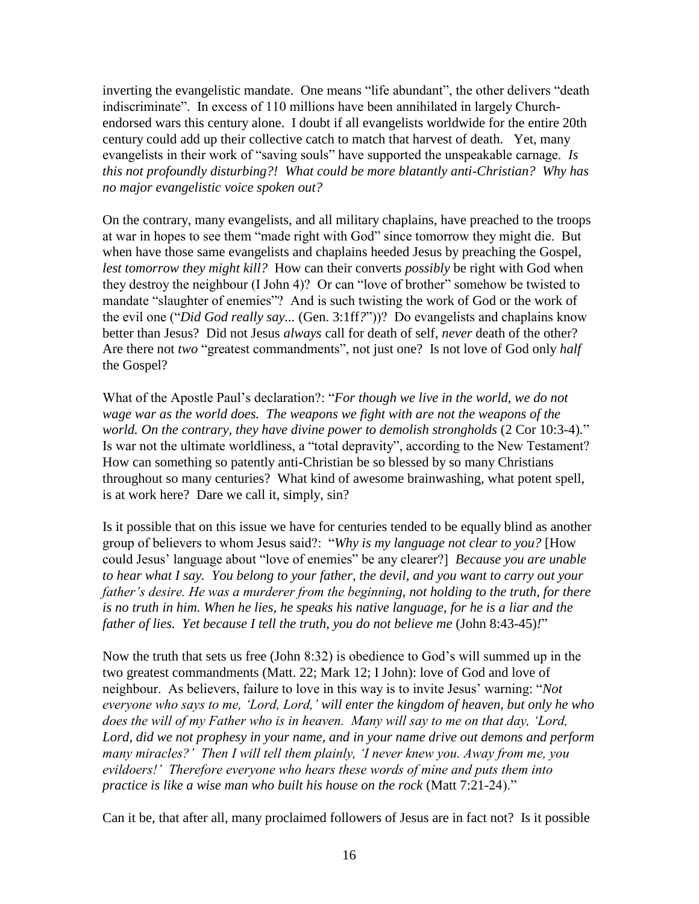inverting the evangelistic mandate. One means "life abundant", the other delivers "death indiscriminate". In excess of 110 millions have been annihilated in largely Churchendorsed wars this century alone. I doubt if all evangelists worldwide for the entire 20th century could add up their collective catch to match that harvest of death. Yet, many evangelists in their work of "saving souls" have supported the unspeakable carnage. *Is this not profoundly disturbing?! What could be more blatantly anti-Christian? Why has no major evangelistic voice spoken out?* 

On the contrary, many evangelists, and all military chaplains, have preached to the troops at war in hopes to see them "made right with God" since tomorrow they might die. But when have those same evangelists and chaplains heeded Jesus by preaching the Gospel, *lest tomorrow they might kill?* How can their converts *possibly* be right with God when they destroy the neighbour (I John 4)? Or can "love of brother" somehow be twisted to mandate "slaughter of enemies"? And is such twisting the work of God or the work of the evil one ("*Did God really say...* (Gen. 3:1ff*?*"))? Do evangelists and chaplains know better than Jesus? Did not Jesus *always* call for death of self, *never* death of the other? Are there not *two* "greatest commandments", not just one? Is not love of God only *half* the Gospel?

What of the Apostle Paul's declaration?: "*For though we live in the world, we do not wage war as the world does. The weapons we fight with are not the weapons of the world. On the contrary, they have divine power to demolish strongholds* (2 Cor 10:3-4)." Is war not the ultimate worldliness, a "total depravity", according to the New Testament? How can something so patently anti-Christian be so blessed by so many Christians throughout so many centuries? What kind of awesome brainwashing, what potent spell, is at work here? Dare we call it, simply, sin?

Is it possible that on this issue we have for centuries tended to be equally blind as another group of believers to whom Jesus said?: "*Why is my language not clear to you?* [How could Jesus' language about "love of enemies" be any clearer?] *Because you are unable to hear what I say. You belong to your father, the devil, and you want to carry out your father's desire. He was a murderer from the beginning, not holding to the truth, for there is no truth in him. When he lies, he speaks his native language, for he is a liar and the father of lies. Yet because I tell the truth, you do not believe me (John 8:43-45)!*"

Now the truth that sets us free (John 8:32) is obedience to God's will summed up in the two greatest commandments (Matt. 22; Mark 12; I John): love of God and love of neighbour. As believers, failure to love in this way is to invite Jesus' warning: "*Not everyone who says to me, 'Lord, Lord,' will enter the kingdom of heaven, but only he who does the will of my Father who is in heaven. Many will say to me on that day, 'Lord, Lord, did we not prophesy in your name, and in your name drive out demons and perform many miracles?' Then I will tell them plainly, 'I never knew you. Away from me, you evildoers!' Therefore everyone who hears these words of mine and puts them into practice is like a wise man who built his house on the rock* (Matt 7:21-24)."

Can it be, that after all, many proclaimed followers of Jesus are in fact not? Is it possible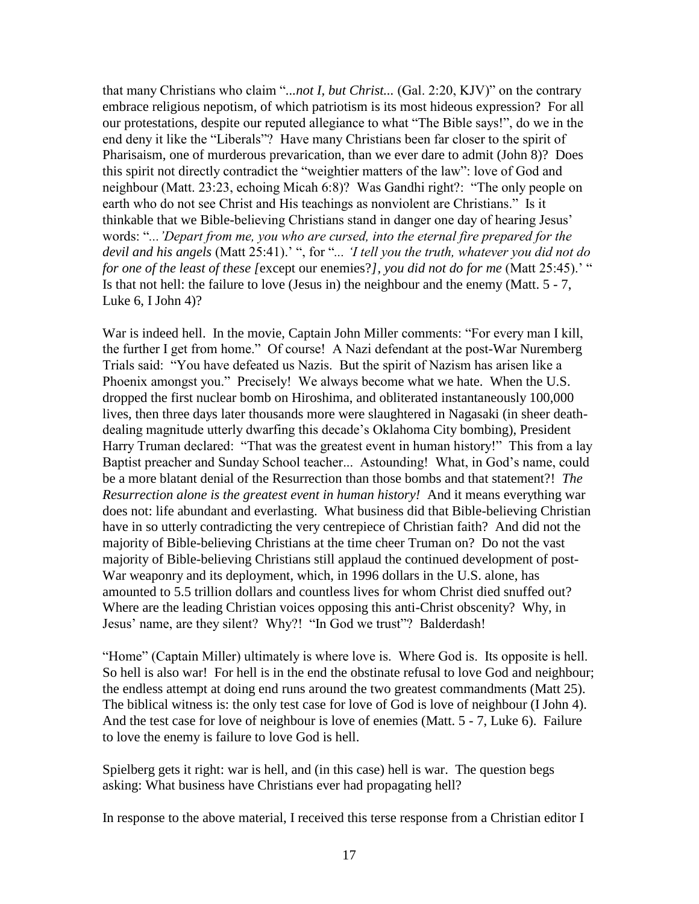that many Christians who claim "*...not I, but Christ...* (Gal. 2:20, KJV)" on the contrary embrace religious nepotism, of which patriotism is its most hideous expression? For all our protestations, despite our reputed allegiance to what "The Bible says!", do we in the end deny it like the "Liberals"? Have many Christians been far closer to the spirit of Pharisaism, one of murderous prevarication, than we ever dare to admit (John 8)? Does this spirit not directly contradict the "weightier matters of the law": love of God and neighbour (Matt. 23:23, echoing Micah 6:8)? Was Gandhi right?: "The only people on earth who do not see Christ and His teachings as nonviolent are Christians." Is it thinkable that we Bible-believing Christians stand in danger one day of hearing Jesus' words: "*...'Depart from me, you who are cursed, into the eternal fire prepared for the devil and his angels* (Matt 25:41).' ", for "*... 'I tell you the truth, whatever you did not do for one of the least of these [*except our enemies?*], you did not do for me* (Matt 25:45).' " Is that not hell: the failure to love (Jesus in) the neighbour and the enemy (Matt. 5 - 7, Luke  $6$ , I John  $4$ ?

War is indeed hell. In the movie, Captain John Miller comments: "For every man I kill, the further I get from home." Of course! A Nazi defendant at the post-War Nuremberg Trials said: "You have defeated us Nazis. But the spirit of Nazism has arisen like a Phoenix amongst you." Precisely! We always become what we hate. When the U.S. dropped the first nuclear bomb on Hiroshima, and obliterated instantaneously 100,000 lives, then three days later thousands more were slaughtered in Nagasaki (in sheer deathdealing magnitude utterly dwarfing this decade's Oklahoma City bombing), President Harry Truman declared: "That was the greatest event in human history!" This from a lay Baptist preacher and Sunday School teacher... Astounding! What, in God's name, could be a more blatant denial of the Resurrection than those bombs and that statement?! *The Resurrection alone is the greatest event in human history!* And it means everything war does not: life abundant and everlasting. What business did that Bible-believing Christian have in so utterly contradicting the very centrepiece of Christian faith? And did not the majority of Bible-believing Christians at the time cheer Truman on? Do not the vast majority of Bible-believing Christians still applaud the continued development of post-War weaponry and its deployment, which, in 1996 dollars in the U.S. alone, has amounted to 5.5 trillion dollars and countless lives for whom Christ died snuffed out? Where are the leading Christian voices opposing this anti-Christ obscenity? Why, in Jesus' name, are they silent? Why?! "In God we trust"? Balderdash!

"Home" (Captain Miller) ultimately is where love is. Where God is. Its opposite is hell. So hell is also war! For hell is in the end the obstinate refusal to love God and neighbour; the endless attempt at doing end runs around the two greatest commandments (Matt 25). The biblical witness is: the only test case for love of God is love of neighbour (I John 4). And the test case for love of neighbour is love of enemies (Matt. 5 - 7, Luke 6). Failure to love the enemy is failure to love God is hell.

Spielberg gets it right: war is hell, and (in this case) hell is war. The question begs asking: What business have Christians ever had propagating hell?

In response to the above material, I received this terse response from a Christian editor I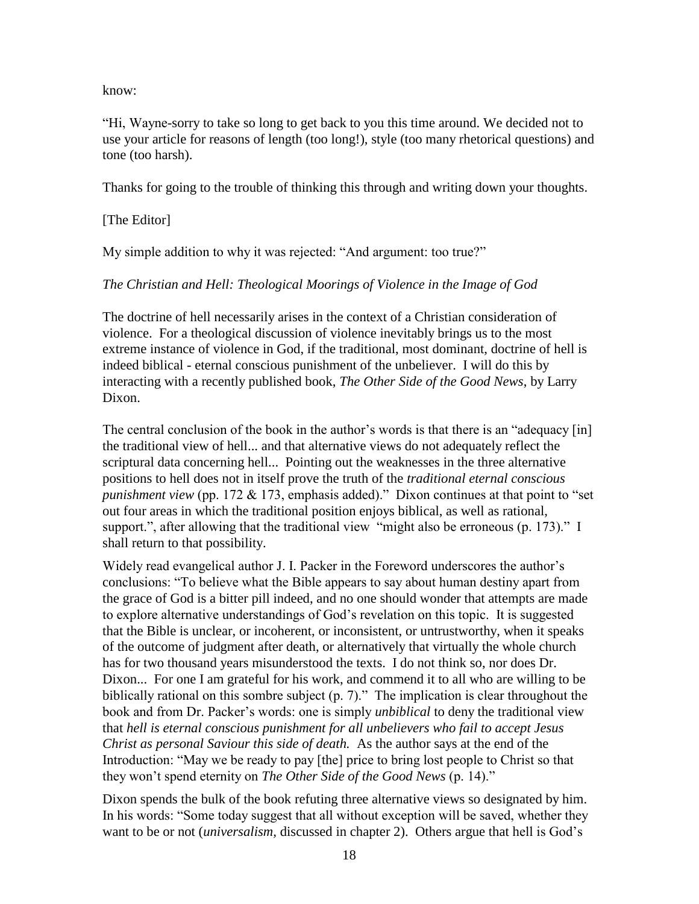know:

"Hi, Wayne-sorry to take so long to get back to you this time around. We decided not to use your article for reasons of length (too long!), style (too many rhetorical questions) and tone (too harsh).

Thanks for going to the trouble of thinking this through and writing down your thoughts.

# [The Editor]

My simple addition to why it was rejected: "And argument: too true?"

# *The Christian and Hell: Theological Moorings of Violence in the Image of God*

The doctrine of hell necessarily arises in the context of a Christian consideration of violence. For a theological discussion of violence inevitably brings us to the most extreme instance of violence in God, if the traditional, most dominant, doctrine of hell is indeed biblical - eternal conscious punishment of the unbeliever. I will do this by interacting with a recently published book, *The Other Side of the Good News*, by Larry Dixon.

The central conclusion of the book in the author's words is that there is an "adequacy [in] the traditional view of hell... and that alternative views do not adequately reflect the scriptural data concerning hell... Pointing out the weaknesses in the three alternative positions to hell does not in itself prove the truth of the *traditional eternal conscious punishment view* (pp. 172 & 173, emphasis added)." Dixon continues at that point to "set out four areas in which the traditional position enjoys biblical, as well as rational, support.", after allowing that the traditional view "might also be erroneous (p. 173)." I shall return to that possibility.

Widely read evangelical author J. I. Packer in the Foreword underscores the author's conclusions: "To believe what the Bible appears to say about human destiny apart from the grace of God is a bitter pill indeed, and no one should wonder that attempts are made to explore alternative understandings of God's revelation on this topic. It is suggested that the Bible is unclear, or incoherent, or inconsistent, or untrustworthy, when it speaks of the outcome of judgment after death, or alternatively that virtually the whole church has for two thousand years misunderstood the texts. I do not think so, nor does Dr. Dixon... For one I am grateful for his work, and commend it to all who are willing to be biblically rational on this sombre subject (p. 7)." The implication is clear throughout the book and from Dr. Packer's words: one is simply *unbiblical* to deny the traditional view that *hell is eternal conscious punishment for all unbelievers who fail to accept Jesus Christ as personal Saviour this side of death.* As the author says at the end of the Introduction: "May we be ready to pay [the] price to bring lost people to Christ so that they won't spend eternity on *The Other Side of the Good News* (p. 14)."

Dixon spends the bulk of the book refuting three alternative views so designated by him. In his words: "Some today suggest that all without exception will be saved, whether they want to be or not (*universalism,* discussed in chapter 2). Others argue that hell is God's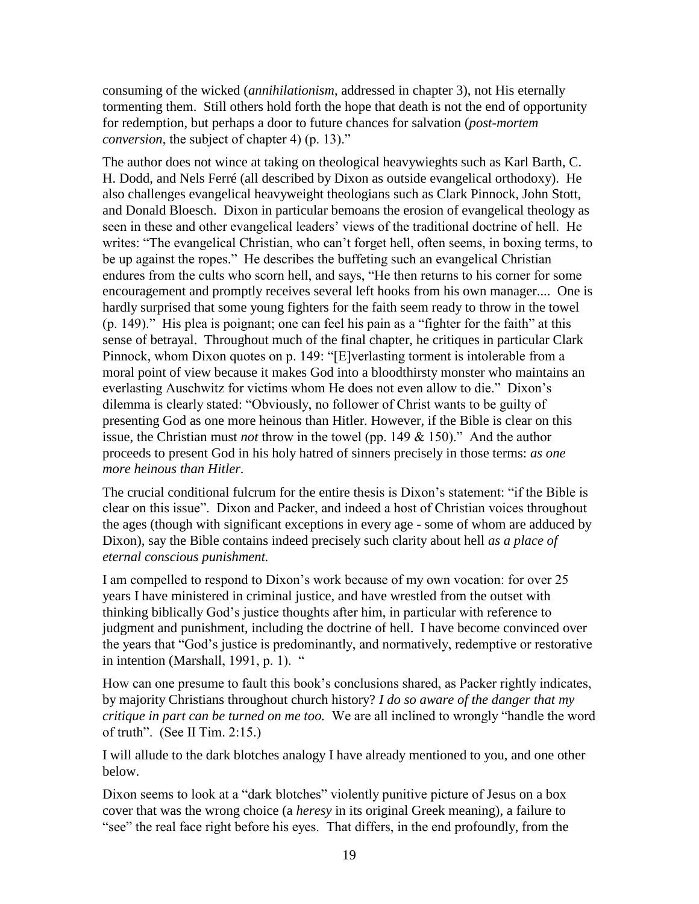consuming of the wicked (*annihilationism*, addressed in chapter 3), not His eternally tormenting them. Still others hold forth the hope that death is not the end of opportunity for redemption, but perhaps a door to future chances for salvation (*post-mortem conversion*, the subject of chapter 4) (p. 13)."

The author does not wince at taking on theological heavywieghts such as Karl Barth, C. H. Dodd, and Nels Ferré (all described by Dixon as outside evangelical orthodoxy). He also challenges evangelical heavyweight theologians such as Clark Pinnock, John Stott, and Donald Bloesch. Dixon in particular bemoans the erosion of evangelical theology as seen in these and other evangelical leaders' views of the traditional doctrine of hell. He writes: "The evangelical Christian, who can't forget hell, often seems, in boxing terms, to be up against the ropes." He describes the buffeting such an evangelical Christian endures from the cults who scorn hell, and says, "He then returns to his corner for some encouragement and promptly receives several left hooks from his own manager.... One is hardly surprised that some young fighters for the faith seem ready to throw in the towel (p. 149)." His plea is poignant; one can feel his pain as a "fighter for the faith" at this sense of betrayal. Throughout much of the final chapter, he critiques in particular Clark Pinnock, whom Dixon quotes on p. 149: "[E]verlasting torment is intolerable from a moral point of view because it makes God into a bloodthirsty monster who maintains an everlasting Auschwitz for victims whom He does not even allow to die." Dixon's dilemma is clearly stated: "Obviously, no follower of Christ wants to be guilty of presenting God as one more heinous than Hitler. However, if the Bible is clear on this issue, the Christian must *not* throw in the towel (pp. 149 & 150)." And the author proceeds to present God in his holy hatred of sinners precisely in those terms: *as one more heinous than Hitler.*

The crucial conditional fulcrum for the entire thesis is Dixon's statement: "if the Bible is clear on this issue". Dixon and Packer, and indeed a host of Christian voices throughout the ages (though with significant exceptions in every age - some of whom are adduced by Dixon), say the Bible contains indeed precisely such clarity about hell *as a place of eternal conscious punishment.*

I am compelled to respond to Dixon's work because of my own vocation: for over 25 years I have ministered in criminal justice, and have wrestled from the outset with thinking biblically God's justice thoughts after him, in particular with reference to judgment and punishment, including the doctrine of hell. I have become convinced over the years that "God's justice is predominantly, and normatively, redemptive or restorative in intention (Marshall, 1991, p. 1).

How can one presume to fault this book's conclusions shared, as Packer rightly indicates, by majority Christians throughout church history? *I do so aware of the danger that my critique in part can be turned on me too.* We are all inclined to wrongly "handle the word of truth". (See II Tim.  $2:15$ .)

I will allude to the dark blotches analogy I have already mentioned to you, and one other below.

Dixon seems to look at a "dark blotches" violently punitive picture of Jesus on a box cover that was the wrong choice (a *heresy* in its original Greek meaning), a failure to "see" the real face right before his eyes. That differs, in the end profoundly, from the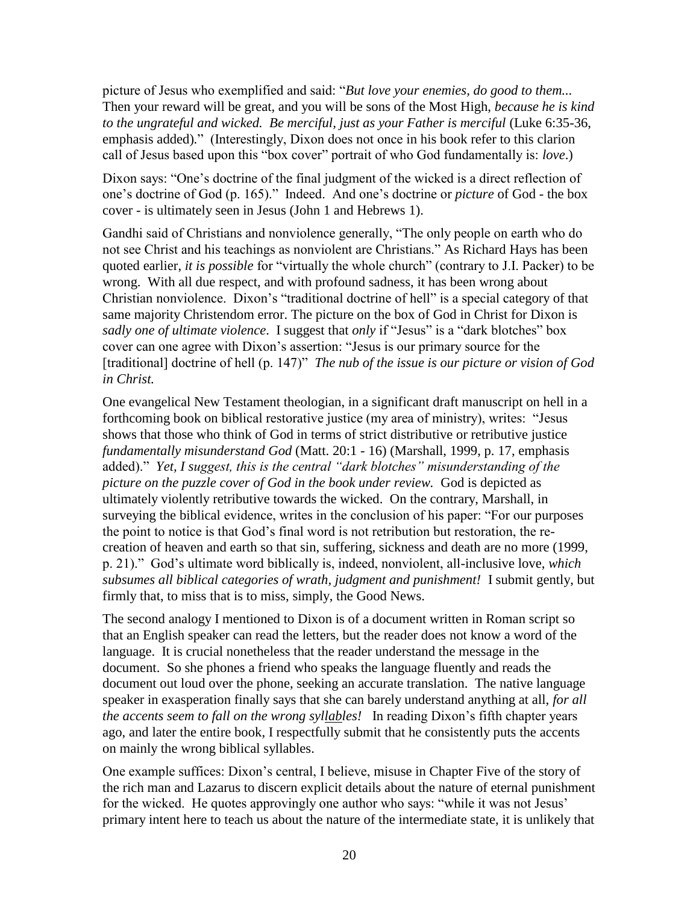picture of Jesus who exemplified and said: "*But love your enemies, do good to them...*  Then your reward will be great, and you will be sons of the Most High, *because he is kind*  to the ungrateful and wicked. Be merciful, just as your Father is merciful (Luke 6:35-36, emphasis added)*.*" (Interestingly, Dixon does not once in his book refer to this clarion call of Jesus based upon this "box cover" portrait of who God fundamentally is: *love*.)

Dixon says: "One's doctrine of the final judgment of the wicked is a direct reflection of one's doctrine of God (p. 165)." Indeed. And one's doctrine or *picture* of God - the box cover - is ultimately seen in Jesus (John 1 and Hebrews 1).

Gandhi said of Christians and nonviolence generally, "The only people on earth who do not see Christ and his teachings as nonviolent are Christians." As Richard Hays has been quoted earlier, *it is possible* for "virtually the whole church" (contrary to J.I. Packer) to be wrong. With all due respect, and with profound sadness, it has been wrong about Christian nonviolence. Dixon's "traditional doctrine of hell" is a special category of that same majority Christendom error. The picture on the box of God in Christ for Dixon is *sadly one of ultimate violence*. I suggest that *only* if "Jesus" is a "dark blotches" box cover can one agree with Dixon's assertion: "Jesus is our primary source for the [traditional] doctrine of hell (p. 147)" *The nub of the issue is our picture or vision of God in Christ.*

One evangelical New Testament theologian, in a significant draft manuscript on hell in a forthcoming book on biblical restorative justice (my area of ministry), writes: "Jesus shows that those who think of God in terms of strict distributive or retributive justice *fundamentally misunderstand God* (Matt. 20:1 - 16) (Marshall, 1999, p. 17, emphasis added)." *Yet, I suggest, this is the central "dark blotches" misunderstanding of the picture on the puzzle cover of God in the book under review.* God is depicted as ultimately violently retributive towards the wicked. On the contrary, Marshall, in surveying the biblical evidence, writes in the conclusion of his paper: "For our purposes the point to notice is that God's final word is not retribution but restoration, the recreation of heaven and earth so that sin, suffering, sickness and death are no more (1999, p. 21)." God's ultimate word biblically is, indeed, nonviolent, all-inclusive love, *which subsumes all biblical categories of wrath, judgment and punishment!* I submit gently, but firmly that, to miss that is to miss, simply, the Good News.

The second analogy I mentioned to Dixon is of a document written in Roman script so that an English speaker can read the letters, but the reader does not know a word of the language. It is crucial nonetheless that the reader understand the message in the document. So she phones a friend who speaks the language fluently and reads the document out loud over the phone, seeking an accurate translation. The native language speaker in exasperation finally says that she can barely understand anything at all, *for all the accents seem to fall on the wrong syllables!* In reading Dixon's fifth chapter years ago, and later the entire book, I respectfully submit that he consistently puts the accents on mainly the wrong biblical syllables.

One example suffices: Dixon's central, I believe, misuse in Chapter Five of the story of the rich man and Lazarus to discern explicit details about the nature of eternal punishment for the wicked. He quotes approvingly one author who says: "while it was not Jesus' primary intent here to teach us about the nature of the intermediate state, it is unlikely that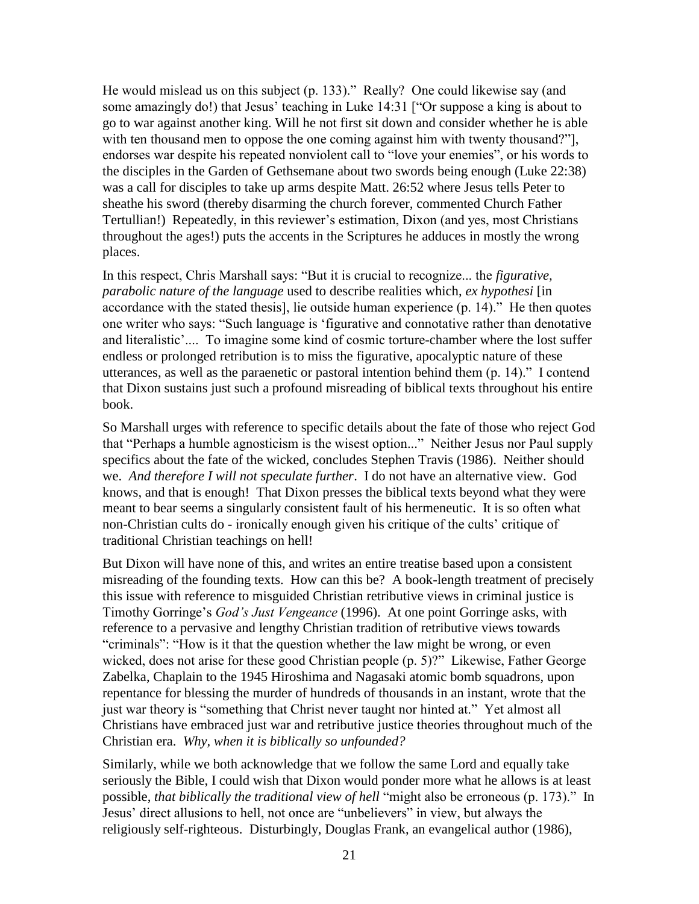He would mislead us on this subject (p. 133)." Really? One could likewise say (and some amazingly do!) that Jesus' teaching in Luke 14:31 ["Or suppose a king is about to go to war against another king. Will he not first sit down and consider whether he is able with ten thousand men to oppose the one coming against him with twenty thousand?"], endorses war despite his repeated nonviolent call to "love your enemies", or his words to the disciples in the Garden of Gethsemane about two swords being enough (Luke 22:38) was a call for disciples to take up arms despite Matt. 26:52 where Jesus tells Peter to sheathe his sword (thereby disarming the church forever, commented Church Father Tertullian!) Repeatedly, in this reviewer's estimation, Dixon (and yes, most Christians throughout the ages!) puts the accents in the Scriptures he adduces in mostly the wrong places.

In this respect, Chris Marshall says: "But it is crucial to recognize... the *figurative, parabolic nature of the language* used to describe realities which, *ex hypothesi* [in accordance with the stated thesis], lie outside human experience (p. 14)." He then quotes one writer who says: "Such language is 'figurative and connotative rather than denotative and literalistic'.... To imagine some kind of cosmic torture-chamber where the lost suffer endless or prolonged retribution is to miss the figurative, apocalyptic nature of these utterances, as well as the paraenetic or pastoral intention behind them (p. 14)." I contend that Dixon sustains just such a profound misreading of biblical texts throughout his entire book.

So Marshall urges with reference to specific details about the fate of those who reject God that "Perhaps a humble agnosticism is the wisest option..." Neither Jesus nor Paul supply specifics about the fate of the wicked, concludes Stephen Travis (1986). Neither should we. *And therefore I will not speculate further*. I do not have an alternative view. God knows, and that is enough! That Dixon presses the biblical texts beyond what they were meant to bear seems a singularly consistent fault of his hermeneutic. It is so often what non-Christian cults do - ironically enough given his critique of the cults' critique of traditional Christian teachings on hell!

But Dixon will have none of this, and writes an entire treatise based upon a consistent misreading of the founding texts. How can this be? A book-length treatment of precisely this issue with reference to misguided Christian retributive views in criminal justice is Timothy Gorringe's *God's Just Vengeance* (1996). At one point Gorringe asks, with reference to a pervasive and lengthy Christian tradition of retributive views towards "criminals": "How is it that the question whether the law might be wrong, or even wicked, does not arise for these good Christian people (p. 5)?" Likewise, Father George Zabelka, Chaplain to the 1945 Hiroshima and Nagasaki atomic bomb squadrons, upon repentance for blessing the murder of hundreds of thousands in an instant, wrote that the just war theory is "something that Christ never taught nor hinted at." Yet almost all Christians have embraced just war and retributive justice theories throughout much of the Christian era. *Why, when it is biblically so unfounded?*

Similarly, while we both acknowledge that we follow the same Lord and equally take seriously the Bible, I could wish that Dixon would ponder more what he allows is at least possible, *that biblically the traditional view of hell* "might also be erroneous (p. 173)."In Jesus' direct allusions to hell, not once are "unbelievers" in view, but always the religiously self-righteous. Disturbingly, Douglas Frank, an evangelical author (1986),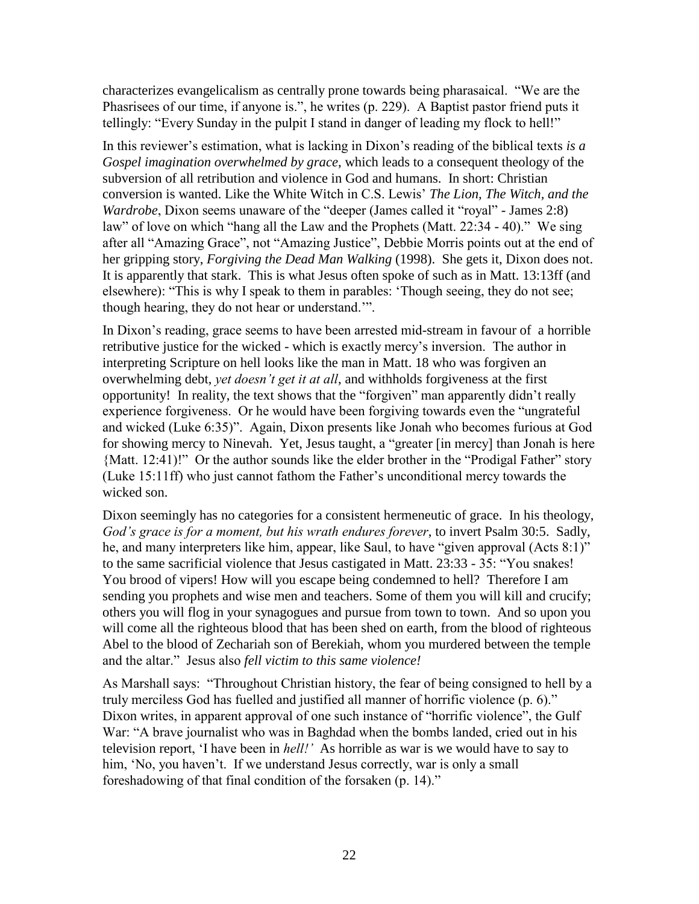characterizes evangelicalism as centrally prone towards being pharasaical. "We are the Phasrisees of our time, if anyone is.", he writes (p. 229). A Baptist pastor friend puts it tellingly: "Every Sunday in the pulpit I stand in danger of leading my flock to hell!"

In this reviewer's estimation, what is lacking in Dixon's reading of the biblical texts *is a Gospel imagination overwhelmed by grace*, which leads to a consequent theology of the subversion of all retribution and violence in God and humans. In short: Christian conversion is wanted. Like the White Witch in C.S. Lewis' *The Lion, The Witch, and the Wardrobe*, Dixon seems unaware of the "deeper (James called it "royal" - James 2:8) law" of love on which "hang all the Law and the Prophets (Matt. 22:34 - 40)." We sing after all "Amazing Grace", not "Amazing Justice", Debbie Morris points out at the end of her gripping story, *Forgiving the Dead Man Walking* (1998). She gets it, Dixon does not. It is apparently that stark. This is what Jesus often spoke of such as in Matt. 13:13ff (and elsewhere): "This is why I speak to them in parables: 'Though seeing, they do not see; though hearing, they do not hear or understand.'".

In Dixon's reading, grace seems to have been arrested mid-stream in favour of a horrible retributive justice for the wicked - which is exactly mercy's inversion. The author in interpreting Scripture on hell looks like the man in Matt. 18 who was forgiven an overwhelming debt, *yet doesn't get it at all*, and withholds forgiveness at the first opportunity! In reality, the text shows that the "forgiven" man apparently didn't really experience forgiveness. Or he would have been forgiving towards even the "ungrateful and wicked (Luke 6:35)". Again, Dixon presents like Jonah who becomes furious at God for showing mercy to Ninevah. Yet, Jesus taught, a "greater [in mercy] than Jonah is here {Matt. 12:41)!" Or the author sounds like the elder brother in the "Prodigal Father" story (Luke 15:11ff) who just cannot fathom the Father's unconditional mercy towards the wicked son.

Dixon seemingly has no categories for a consistent hermeneutic of grace. In his theology, *God's grace is for a moment, but his wrath endures forever*, to invert Psalm 30:5. Sadly, he, and many interpreters like him, appear, like Saul, to have "given approval (Acts 8:1)" to the same sacrificial violence that Jesus castigated in Matt. 23:33 - 35: "You snakes! You brood of vipers! How will you escape being condemned to hell? Therefore I am sending you prophets and wise men and teachers. Some of them you will kill and crucify; others you will flog in your synagogues and pursue from town to town. And so upon you will come all the righteous blood that has been shed on earth, from the blood of righteous Abel to the blood of Zechariah son of Berekiah, whom you murdered between the temple and the altar." Jesus also *fell victim to this same violence!*

As Marshall says: "Throughout Christian history, the fear of being consigned to hell by a truly merciless God has fuelled and justified all manner of horrific violence (p. 6)." Dixon writes, in apparent approval of one such instance of "horrific violence", the Gulf War: "A brave journalist who was in Baghdad when the bombs landed, cried out in his television report, 'I have been in *hell!'* As horrible as war is we would have to say to him, 'No, you haven't. If we understand Jesus correctly, war is only a small foreshadowing of that final condition of the forsaken (p. 14)."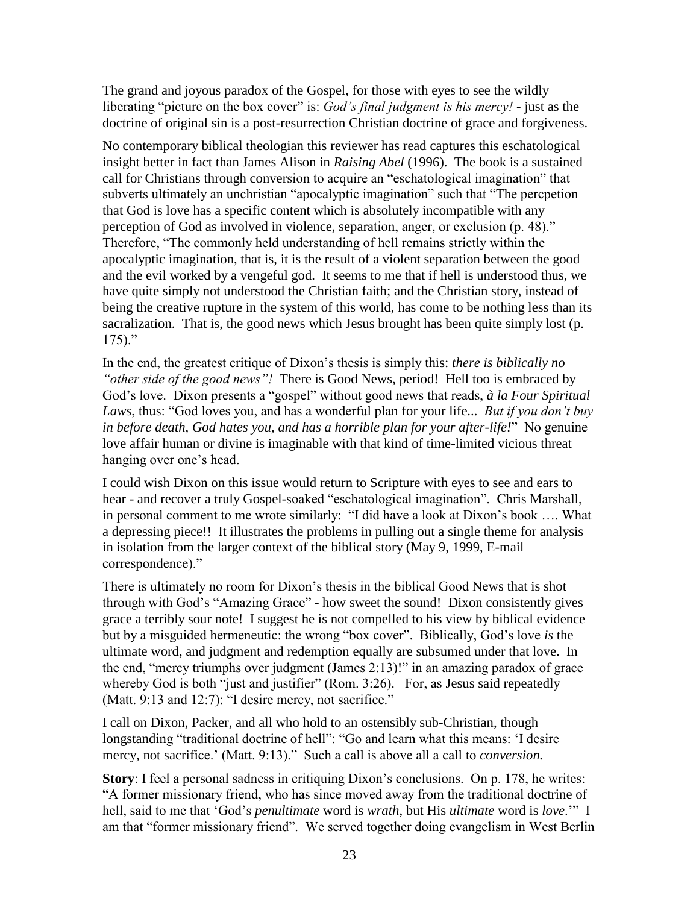The grand and joyous paradox of the Gospel, for those with eyes to see the wildly liberating "picture on the box cover" is: *God's final judgment is his mercy!* - just as the doctrine of original sin is a post-resurrection Christian doctrine of grace and forgiveness.

No contemporary biblical theologian this reviewer has read captures this eschatological insight better in fact than James Alison in *Raising Abel* (1996). The book is a sustained call for Christians through conversion to acquire an "eschatological imagination" that subverts ultimately an unchristian "apocalyptic imagination" such that "The percpetion that God is love has a specific content which is absolutely incompatible with any perception of God as involved in violence, separation, anger, or exclusion (p. 48)." Therefore, "The commonly held understanding of hell remains strictly within the apocalyptic imagination, that is, it is the result of a violent separation between the good and the evil worked by a vengeful god. It seems to me that if hell is understood thus, we have quite simply not understood the Christian faith; and the Christian story, instead of being the creative rupture in the system of this world, has come to be nothing less than its sacralization. That is, the good news which Jesus brought has been quite simply lost (p.  $175$ )."

In the end, the greatest critique of Dixon's thesis is simply this: *there is biblically no "other side of the good news"!* There is Good News, period! Hell too is embraced by God's love. Dixon presents a "gospel" without good news that reads, *à la Four Spiritual Laws*, thus: "God loves you, and has a wonderful plan for your life... *But if you don't buy in before death, God hates you, and has a horrible plan for your after-life!*" No genuine love affair human or divine is imaginable with that kind of time-limited vicious threat hanging over one's head.

I could wish Dixon on this issue would return to Scripture with eyes to see and ears to hear - and recover a truly Gospel-soaked "eschatological imagination". Chris Marshall, in personal comment to me wrote similarly: "I did have a look at Dixon's book …. What a depressing piece!! It illustrates the problems in pulling out a single theme for analysis in isolation from the larger context of the biblical story (May 9, 1999, E-mail correspondence)."

There is ultimately no room for Dixon's thesis in the biblical Good News that is shot through with God's "Amazing Grace" - how sweet the sound! Dixon consistently gives grace a terribly sour note! I suggest he is not compelled to his view by biblical evidence but by a misguided hermeneutic: the wrong "box cover". Biblically, God's love *is* the ultimate word, and judgment and redemption equally are subsumed under that love. In the end, "mercy triumphs over judgment (James 2:13)!" in an amazing paradox of grace whereby God is both "just and justifier" (Rom. 3:26). For, as Jesus said repeatedly (Matt. 9:13 and 12:7): "I desire mercy, not sacrifice."

I call on Dixon, Packer, and all who hold to an ostensibly sub-Christian, though longstanding "traditional doctrine of hell": "Go and learn what this means: 'I desire mercy, not sacrifice.' (Matt. 9:13)." Such a call is above all a call to *conversion.* 

**Story**: I feel a personal sadness in critiquing Dixon's conclusions. On p. 178, he writes: "A former missionary friend, who has since moved away from the traditional doctrine of hell, said to me that 'God's *penultimate* word is *wrath*, but His *ultimate* word is *love*.'" I am that "former missionary friend". We served together doing evangelism in West Berlin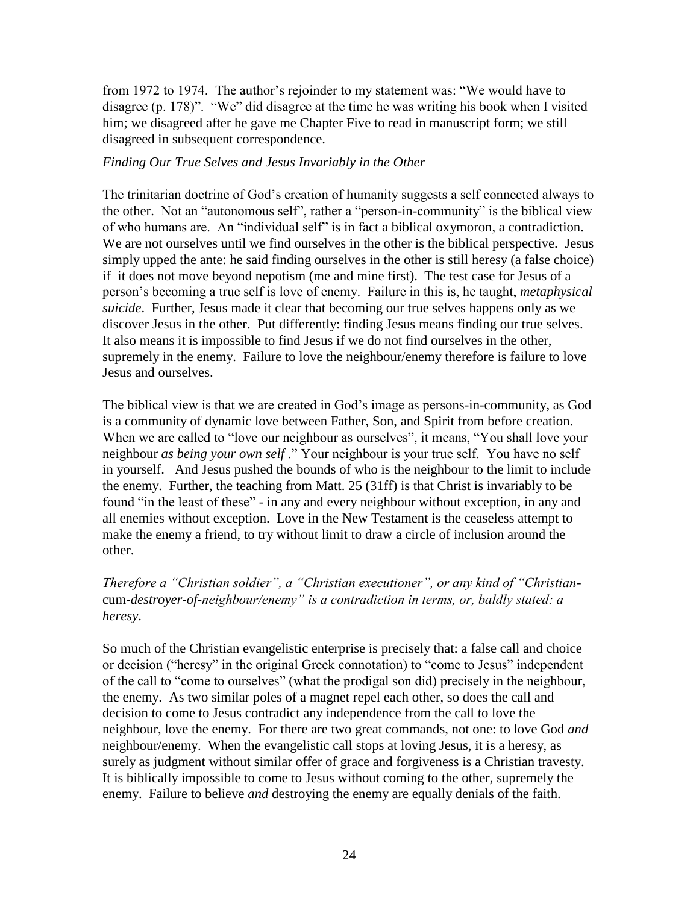from 1972 to 1974. The author's rejoinder to my statement was: "We would have to disagree (p. 178)". "We" did disagree at the time he was writing his book when I visited him; we disagreed after he gave me Chapter Five to read in manuscript form; we still disagreed in subsequent correspondence.

## *Finding Our True Selves and Jesus Invariably in the Other*

The trinitarian doctrine of God's creation of humanity suggests a self connected always to the other.Not an "autonomous self", rather a "person-in-community" is the biblical view of who humans are. An "individual self" is in fact a biblical oxymoron, a contradiction. We are not ourselves until we find ourselves in the other is the biblical perspective. Jesus simply upped the ante: he said finding ourselves in the other is still heresy (a false choice) if it does not move beyond nepotism (me and mine first). The test case for Jesus of a person's becoming a true self is love of enemy. Failure in this is, he taught, *metaphysical suicide*. Further, Jesus made it clear that becoming our true selves happens only as we discover Jesus in the other. Put differently: finding Jesus means finding our true selves. It also means it is impossible to find Jesus if we do not find ourselves in the other, supremely in the enemy. Failure to love the neighbour/enemy therefore is failure to love Jesus and ourselves.

The biblical view is that we are created in God's image as persons-in-community, as God is a community of dynamic love between Father, Son, and Spirit from before creation. When we are called to "love our neighbour as ourselves", it means, "You shall love your neighbour *as being your own self* ." Your neighbour is your true self. You have no self in yourself. And Jesus pushed the bounds of who is the neighbour to the limit to include the enemy. Further, the teaching from Matt. 25 (31ff) is that Christ is invariably to be found "in the least of these" - in any and every neighbour without exception, in any and all enemies without exception. Love in the New Testament is the ceaseless attempt to make the enemy a friend, to try without limit to draw a circle of inclusion around the other.

## *Therefore a "Christian soldier", a "Christian executioner", or any kind of "Christian*cum*-destroyer-of-neighbour/enemy" is a contradiction in terms, or, baldly stated: a heresy*.

So much of the Christian evangelistic enterprise is precisely that: a false call and choice or decision ("heresy" in the original Greek connotation) to "come to Jesus" independent of the call to "come to ourselves" (what the prodigal son did) precisely in the neighbour, the enemy. As two similar poles of a magnet repel each other, so does the call and decision to come to Jesus contradict any independence from the call to love the neighbour, love the enemy. For there are two great commands, not one: to love God *and* neighbour/enemy. When the evangelistic call stops at loving Jesus, it is a heresy, as surely as judgment without similar offer of grace and forgiveness is a Christian travesty. It is biblically impossible to come to Jesus without coming to the other, supremely the enemy. Failure to believe *and* destroying the enemy are equally denials of the faith.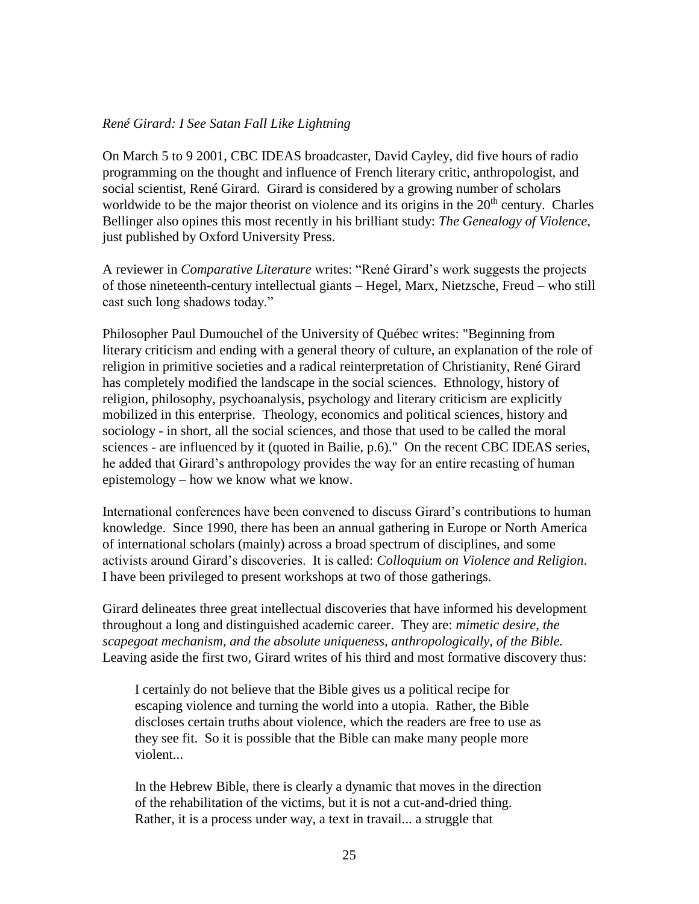#### *René Girard: I See Satan Fall Like Lightning*

On March 5 to 9 2001, CBC IDEAS broadcaster, David Cayley, did five hours of radio programming on the thought and influence of French literary critic, anthropologist, and social scientist, René Girard. Girard is considered by a growing number of scholars worldwide to be the major theorist on violence and its origins in the  $20<sup>th</sup>$  century. Charles Bellinger also opines this most recently in his brilliant study: *The Genealogy of Violence*, just published by Oxford University Press.

A reviewer in *Comparative Literature* writes: "René Girard's work suggests the projects of those nineteenth-century intellectual giants – Hegel, Marx, Nietzsche, Freud – who still cast such long shadows today."

Philosopher Paul Dumouchel of the University of Québec writes: "Beginning from literary criticism and ending with a general theory of culture, an explanation of the role of religion in primitive societies and a radical reinterpretation of Christianity, René Girard has completely modified the landscape in the social sciences. Ethnology, history of religion, philosophy, psychoanalysis, psychology and literary criticism are explicitly mobilized in this enterprise. Theology, economics and political sciences, history and sociology - in short, all the social sciences, and those that used to be called the moral sciences - are influenced by it (quoted in Bailie, p.6)." On the recent CBC IDEAS series, he added that Girard's anthropology provides the way for an entire recasting of human epistemology – how we know what we know.

International conferences have been convened to discuss Girard's contributions to human knowledge. Since 1990, there has been an annual gathering in Europe or North America of international scholars (mainly) across a broad spectrum of disciplines, and some activists around Girard's discoveries. It is called: *Colloquium on Violence and Religion*. I have been privileged to present workshops at two of those gatherings.

Girard delineates three great intellectual discoveries that have informed his development throughout a long and distinguished academic career. They are: *mimetic desire, the scapegoat mechanism, and the absolute uniqueness, anthropologically, of the Bible.*  Leaving aside the first two, Girard writes of his third and most formative discovery thus:

I certainly do not believe that the Bible gives us a political recipe for escaping violence and turning the world into a utopia. Rather, the Bible discloses certain truths about violence, which the readers are free to use as they see fit. So it is possible that the Bible can make many people more violent...

In the Hebrew Bible, there is clearly a dynamic that moves in the direction of the rehabilitation of the victims, but it is not a cut-and-dried thing. Rather, it is a process under way, a text in travail... a struggle that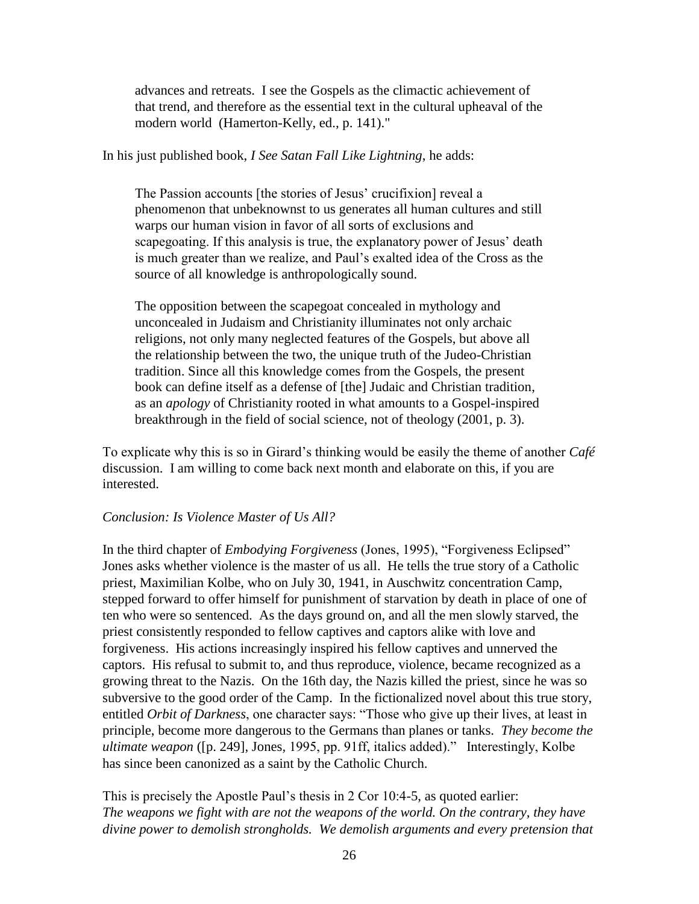advances and retreats. I see the Gospels as the climactic achievement of that trend, and therefore as the essential text in the cultural upheaval of the modern world (Hamerton-Kelly, ed., p. 141)."

In his just published book, *I See Satan Fall Like Lightning*, he adds:

The Passion accounts [the stories of Jesus' crucifixion] reveal a phenomenon that unbeknownst to us generates all human cultures and still warps our human vision in favor of all sorts of exclusions and scapegoating. If this analysis is true, the explanatory power of Jesus' death is much greater than we realize, and Paul's exalted idea of the Cross as the source of all knowledge is anthropologically sound.

The opposition between the scapegoat concealed in mythology and unconcealed in Judaism and Christianity illuminates not only archaic religions, not only many neglected features of the Gospels, but above all the relationship between the two, the unique truth of the Judeo-Christian tradition. Since all this knowledge comes from the Gospels, the present book can define itself as a defense of [the] Judaic and Christian tradition, as an *apology* of Christianity rooted in what amounts to a Gospel-inspired breakthrough in the field of social science, not of theology (2001, p. 3).

To explicate why this is so in Girard's thinking would be easily the theme of another *Café*  discussion. I am willing to come back next month and elaborate on this, if you are interested.

#### *Conclusion: Is Violence Master of Us All?*

In the third chapter of *Embodying Forgiveness* (Jones, 1995), "Forgiveness Eclipsed" Jones asks whether violence is the master of us all. He tells the true story of a Catholic priest, Maximilian Kolbe, who on July 30, 1941, in Auschwitz concentration Camp, stepped forward to offer himself for punishment of starvation by death in place of one of ten who were so sentenced. As the days ground on, and all the men slowly starved, the priest consistently responded to fellow captives and captors alike with love and forgiveness. His actions increasingly inspired his fellow captives and unnerved the captors. His refusal to submit to, and thus reproduce, violence, became recognized as a growing threat to the Nazis. On the 16th day, the Nazis killed the priest, since he was so subversive to the good order of the Camp. In the fictionalized novel about this true story, entitled *Orbit of Darkness*, one character says: "Those who give up their lives, at least in principle, become more dangerous to the Germans than planes or tanks. *They become the ultimate weapon* ([p. 249], Jones*,* 1995, pp. 91ff, italics added)." Interestingly, Kolbe has since been canonized as a saint by the Catholic Church.

This is precisely the Apostle Paul's thesis in 2 Cor 10:4-5, as quoted earlier: *The weapons we fight with are not the weapons of the world. On the contrary, they have divine power to demolish strongholds. We demolish arguments and every pretension that*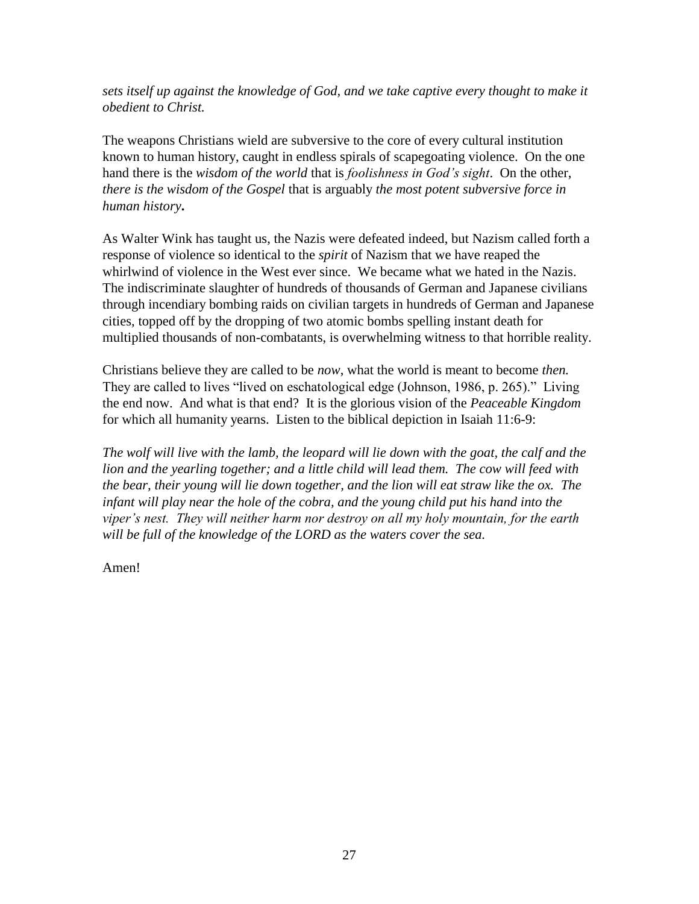*sets itself up against the knowledge of God, and we take captive every thought to make it obedient to Christ.* 

The weapons Christians wield are subversive to the core of every cultural institution known to human history, caught in endless spirals of scapegoating violence. On the one hand there is the *wisdom of the world* that is *foolishness in God's sight*. On the other, *there is the wisdom of the Gospel* that is arguably *the most potent subversive force in human history***.**

As Walter Wink has taught us, the Nazis were defeated indeed, but Nazism called forth a response of violence so identical to the *spirit* of Nazism that we have reaped the whirlwind of violence in the West ever since. We became what we hated in the Nazis. The indiscriminate slaughter of hundreds of thousands of German and Japanese civilians through incendiary bombing raids on civilian targets in hundreds of German and Japanese cities, topped off by the dropping of two atomic bombs spelling instant death for multiplied thousands of non-combatants, is overwhelming witness to that horrible reality.

Christians believe they are called to be *now*, what the world is meant to become *then.*  They are called to lives "lived on eschatological edge (Johnson, 1986, p. 265)." Living the end now. And what is that end? It is the glorious vision of the *Peaceable Kingdom* for which all humanity yearns. Listen to the biblical depiction in Isaiah 11:6-9:

*The wolf will live with the lamb, the leopard will lie down with the goat, the calf and the lion and the yearling together; and a little child will lead them. The cow will feed with the bear, their young will lie down together, and the lion will eat straw like the ox. The infant will play near the hole of the cobra, and the young child put his hand into the viper's nest. They will neither harm nor destroy on all my holy mountain, for the earth will be full of the knowledge of the LORD as the waters cover the sea.*

Amen!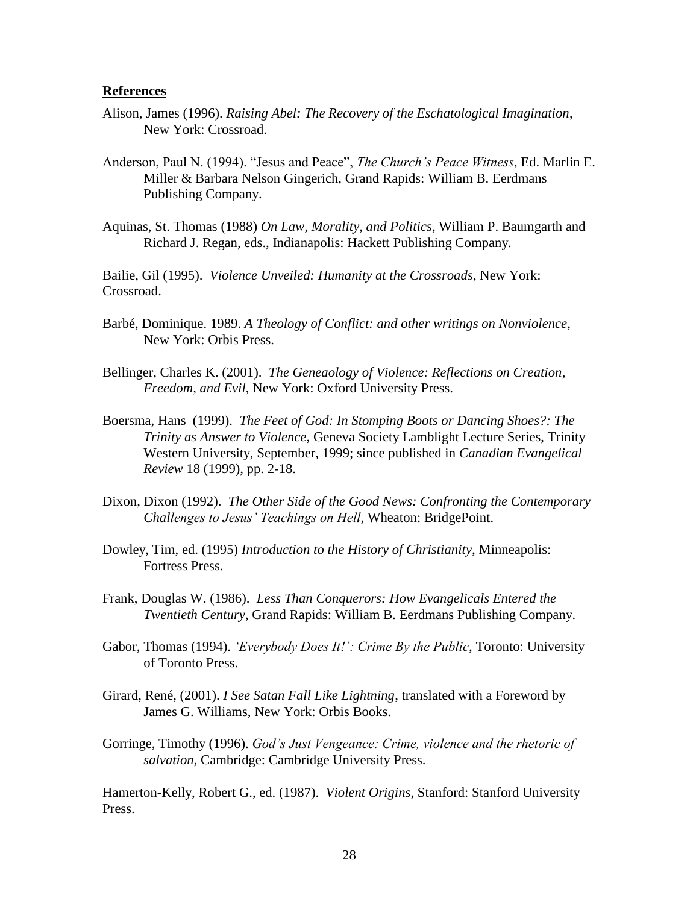#### **References**

- Alison, James (1996). *Raising Abel: The Recovery of the Eschatological Imagination*, New York: Crossroad.
- Anderson, Paul N. (1994). "Jesus and Peace", *The Church's Peace Witness*, Ed. Marlin E. Miller & Barbara Nelson Gingerich, Grand Rapids: William B. Eerdmans Publishing Company.
- Aquinas, St. Thomas (1988) *On Law, Morality, and Politics*, William P. Baumgarth and Richard J. Regan, eds., Indianapolis: Hackett Publishing Company.

Bailie, Gil (1995). *Violence Unveiled: Humanity at the Crossroads*, New York: Crossroad.

- Barbé, Dominique. 1989. *A Theology of Conflict: and other writings on Nonviolence*, New York: Orbis Press.
- Bellinger, Charles K. (2001). *The Geneaology of Violence: Reflections on Creation*, *Freedom, and Evil*, New York: Oxford University Press.
- Boersma, Hans (1999). *The Feet of God: In Stomping Boots or Dancing Shoes?: The Trinity as Answer to Violence*, Geneva Society Lamblight Lecture Series, Trinity Western University, September, 1999; since published in *Canadian Evangelical Review* 18 (1999), pp. 2-18.
- Dixon, Dixon (1992). *The Other Side of the Good News: Confronting the Contemporary Challenges to Jesus' Teachings on Hell*, Wheaton: BridgePoint.
- Dowley, Tim, ed. (1995) *Introduction to the History of Christianity*, Minneapolis: Fortress Press.
- Frank, Douglas W. (1986). *Less Than Conquerors: How Evangelicals Entered the Twentieth Century*, Grand Rapids: William B. Eerdmans Publishing Company.
- Gabor, Thomas (1994). *'Everybody Does It!': Crime By the Public*, Toronto: University of Toronto Press.
- Girard, René, (2001). *I See Satan Fall Like Lightning*, translated with a Foreword by James G. Williams, New York: Orbis Books.
- Gorringe, Timothy (1996). *God's Just Vengeance: Crime, violence and the rhetoric of salvation*, Cambridge: Cambridge University Press.

Hamerton-Kelly, Robert G., ed. (1987). *Violent Origins*, Stanford: Stanford University Press.